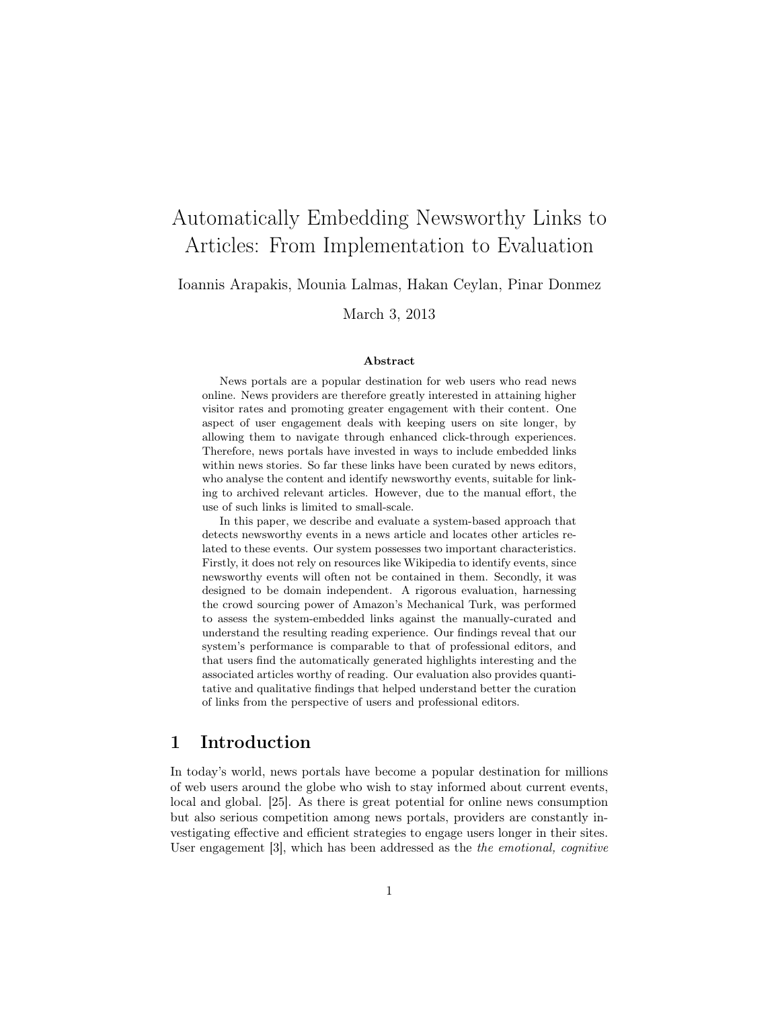# Automatically Embedding Newsworthy Links to Articles: From Implementation to Evaluation

Ioannis Arapakis, Mounia Lalmas, Hakan Ceylan, Pinar Donmez

March 3, 2013

#### Abstract

News portals are a popular destination for web users who read news online. News providers are therefore greatly interested in attaining higher visitor rates and promoting greater engagement with their content. One aspect of user engagement deals with keeping users on site longer, by allowing them to navigate through enhanced click-through experiences. Therefore, news portals have invested in ways to include embedded links within news stories. So far these links have been curated by news editors, who analyse the content and identify newsworthy events, suitable for linking to archived relevant articles. However, due to the manual effort, the use of such links is limited to small-scale.

In this paper, we describe and evaluate a system-based approach that detects newsworthy events in a news article and locates other articles related to these events. Our system possesses two important characteristics. Firstly, it does not rely on resources like Wikipedia to identify events, since newsworthy events will often not be contained in them. Secondly, it was designed to be domain independent. A rigorous evaluation, harnessing the crowd sourcing power of Amazon's Mechanical Turk, was performed to assess the system-embedded links against the manually-curated and understand the resulting reading experience. Our findings reveal that our system's performance is comparable to that of professional editors, and that users find the automatically generated highlights interesting and the associated articles worthy of reading. Our evaluation also provides quantitative and qualitative findings that helped understand better the curation of links from the perspective of users and professional editors.

# 1 Introduction

In today's world, news portals have become a popular destination for millions of web users around the globe who wish to stay informed about current events, local and global. [25]. As there is great potential for online news consumption but also serious competition among news portals, providers are constantly investigating effective and efficient strategies to engage users longer in their sites. User engagement [3], which has been addressed as the the emotional, cognitive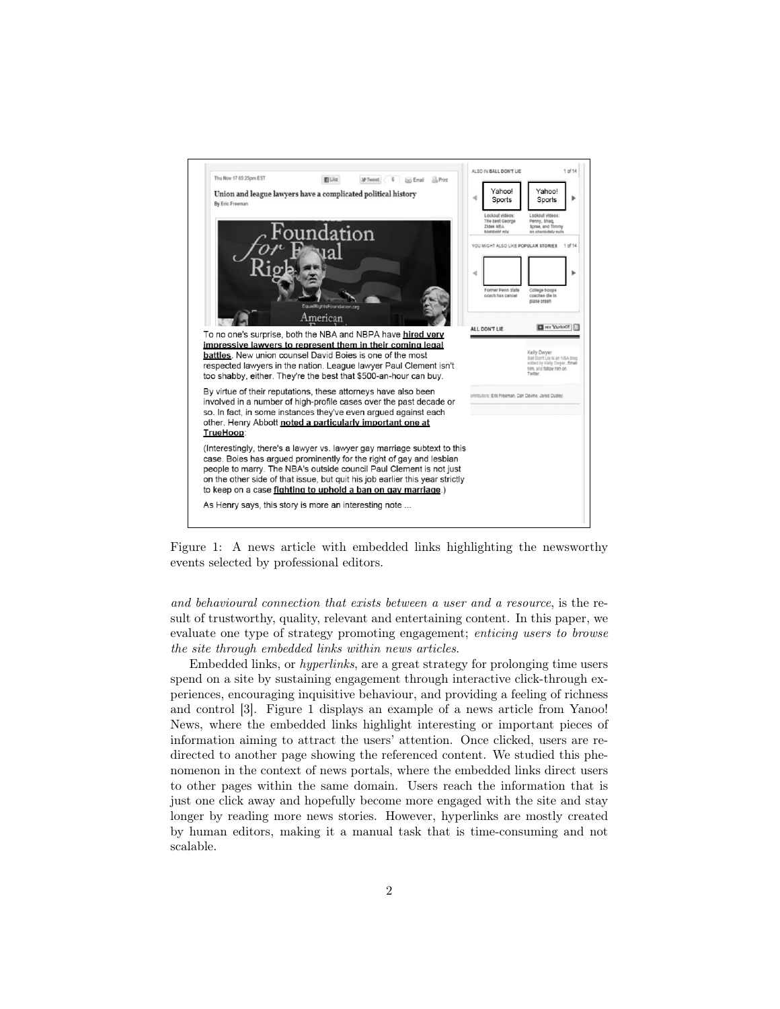

Figure 1: A news article with embedded links highlighting the newsworthy events selected by professional editors.

and behavioural connection that exists between a user and a resource, is the result of trustworthy, quality, relevant and entertaining content. In this paper, we evaluate one type of strategy promoting engagement; enticing users to browse the site through embedded links within news articles.

Embedded links, or hyperlinks, are a great strategy for prolonging time users spend on a site by sustaining engagement through interactive click-through experiences, encouraging inquisitive behaviour, and providing a feeling of richness and control [3]. Figure 1 displays an example of a news article from Yanoo! News, where the embedded links highlight interesting or important pieces of information aiming to attract the users' attention. Once clicked, users are redirected to another page showing the referenced content. We studied this phenomenon in the context of news portals, where the embedded links direct users to other pages within the same domain. Users reach the information that is just one click away and hopefully become more engaged with the site and stay longer by reading more news stories. However, hyperlinks are mostly created by human editors, making it a manual task that is time-consuming and not scalable.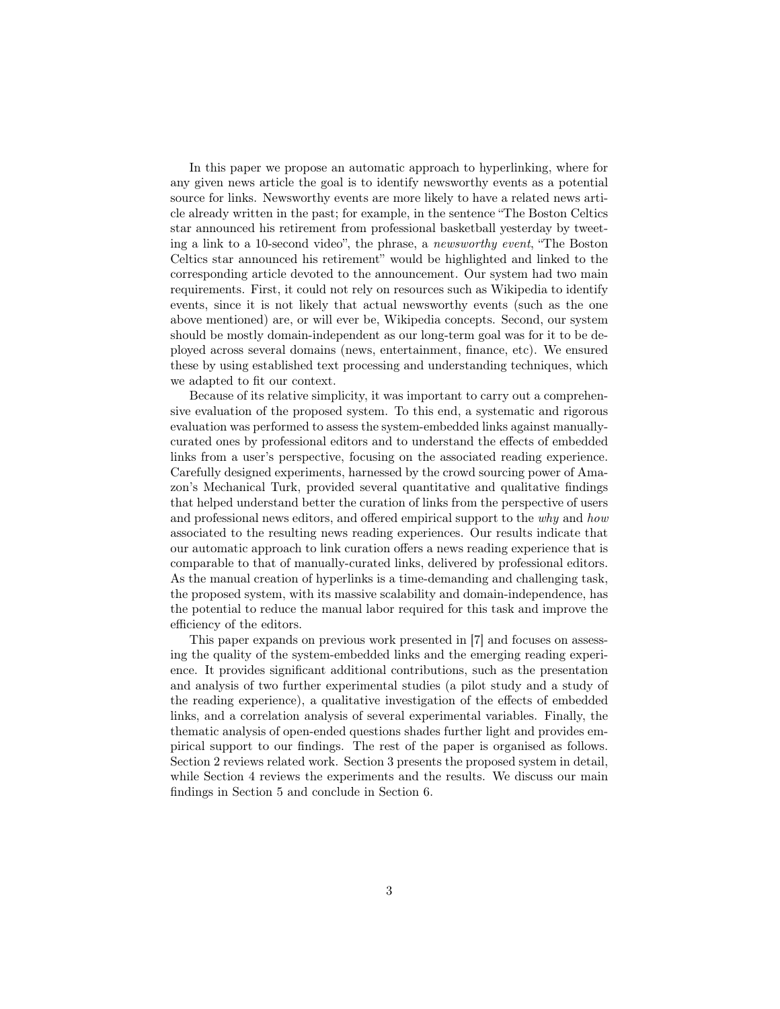In this paper we propose an automatic approach to hyperlinking, where for any given news article the goal is to identify newsworthy events as a potential source for links. Newsworthy events are more likely to have a related news article already written in the past; for example, in the sentence "The Boston Celtics star announced his retirement from professional basketball yesterday by tweeting a link to a 10-second video", the phrase, a newsworthy event, "The Boston Celtics star announced his retirement" would be highlighted and linked to the corresponding article devoted to the announcement. Our system had two main requirements. First, it could not rely on resources such as Wikipedia to identify events, since it is not likely that actual newsworthy events (such as the one above mentioned) are, or will ever be, Wikipedia concepts. Second, our system should be mostly domain-independent as our long-term goal was for it to be deployed across several domains (news, entertainment, finance, etc). We ensured these by using established text processing and understanding techniques, which we adapted to fit our context.

Because of its relative simplicity, it was important to carry out a comprehensive evaluation of the proposed system. To this end, a systematic and rigorous evaluation was performed to assess the system-embedded links against manuallycurated ones by professional editors and to understand the effects of embedded links from a user's perspective, focusing on the associated reading experience. Carefully designed experiments, harnessed by the crowd sourcing power of Amazon's Mechanical Turk, provided several quantitative and qualitative findings that helped understand better the curation of links from the perspective of users and professional news editors, and offered empirical support to the why and how associated to the resulting news reading experiences. Our results indicate that our automatic approach to link curation offers a news reading experience that is comparable to that of manually-curated links, delivered by professional editors. As the manual creation of hyperlinks is a time-demanding and challenging task, the proposed system, with its massive scalability and domain-independence, has the potential to reduce the manual labor required for this task and improve the efficiency of the editors.

This paper expands on previous work presented in [7] and focuses on assessing the quality of the system-embedded links and the emerging reading experience. It provides significant additional contributions, such as the presentation and analysis of two further experimental studies (a pilot study and a study of the reading experience), a qualitative investigation of the effects of embedded links, and a correlation analysis of several experimental variables. Finally, the thematic analysis of open-ended questions shades further light and provides empirical support to our findings. The rest of the paper is organised as follows. Section 2 reviews related work. Section 3 presents the proposed system in detail, while Section 4 reviews the experiments and the results. We discuss our main findings in Section 5 and conclude in Section 6.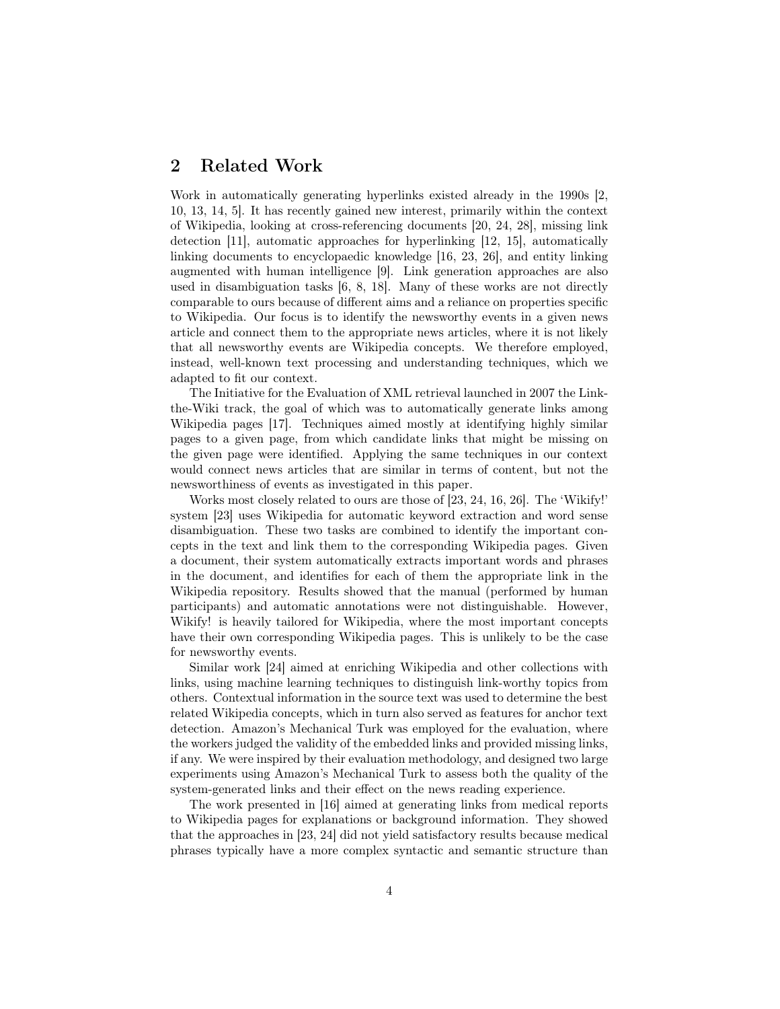# 2 Related Work

Work in automatically generating hyperlinks existed already in the 1990s [2, 10, 13, 14, 5]. It has recently gained new interest, primarily within the context of Wikipedia, looking at cross-referencing documents [20, 24, 28], missing link detection [11], automatic approaches for hyperlinking [12, 15], automatically linking documents to encyclopaedic knowledge [16, 23, 26], and entity linking augmented with human intelligence [9]. Link generation approaches are also used in disambiguation tasks [6, 8, 18]. Many of these works are not directly comparable to ours because of different aims and a reliance on properties specific to Wikipedia. Our focus is to identify the newsworthy events in a given news article and connect them to the appropriate news articles, where it is not likely that all newsworthy events are Wikipedia concepts. We therefore employed, instead, well-known text processing and understanding techniques, which we adapted to fit our context.

The Initiative for the Evaluation of XML retrieval launched in 2007 the Linkthe-Wiki track, the goal of which was to automatically generate links among Wikipedia pages [17]. Techniques aimed mostly at identifying highly similar pages to a given page, from which candidate links that might be missing on the given page were identified. Applying the same techniques in our context would connect news articles that are similar in terms of content, but not the newsworthiness of events as investigated in this paper.

Works most closely related to ours are those of [23, 24, 16, 26]. The 'Wikify!' system [23] uses Wikipedia for automatic keyword extraction and word sense disambiguation. These two tasks are combined to identify the important concepts in the text and link them to the corresponding Wikipedia pages. Given a document, their system automatically extracts important words and phrases in the document, and identifies for each of them the appropriate link in the Wikipedia repository. Results showed that the manual (performed by human participants) and automatic annotations were not distinguishable. However, Wikify! is heavily tailored for Wikipedia, where the most important concepts have their own corresponding Wikipedia pages. This is unlikely to be the case for newsworthy events.

Similar work [24] aimed at enriching Wikipedia and other collections with links, using machine learning techniques to distinguish link-worthy topics from others. Contextual information in the source text was used to determine the best related Wikipedia concepts, which in turn also served as features for anchor text detection. Amazon's Mechanical Turk was employed for the evaluation, where the workers judged the validity of the embedded links and provided missing links, if any. We were inspired by their evaluation methodology, and designed two large experiments using Amazon's Mechanical Turk to assess both the quality of the system-generated links and their effect on the news reading experience.

The work presented in [16] aimed at generating links from medical reports to Wikipedia pages for explanations or background information. They showed that the approaches in [23, 24] did not yield satisfactory results because medical phrases typically have a more complex syntactic and semantic structure than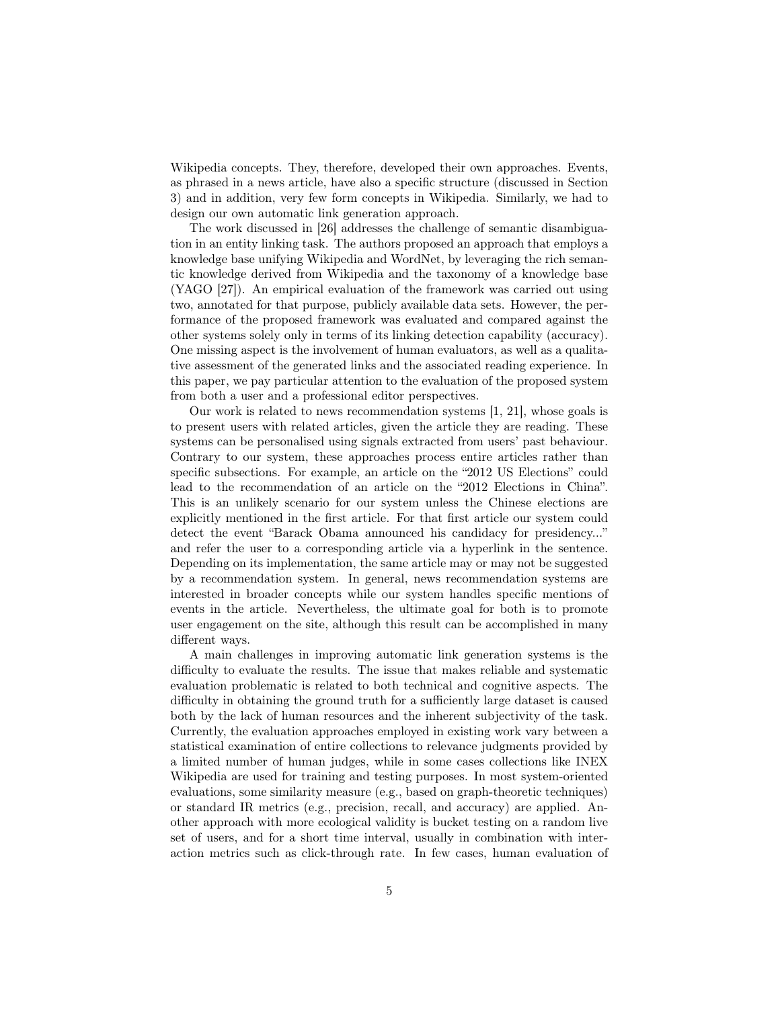Wikipedia concepts. They, therefore, developed their own approaches. Events, as phrased in a news article, have also a specific structure (discussed in Section 3) and in addition, very few form concepts in Wikipedia. Similarly, we had to design our own automatic link generation approach.

The work discussed in [26] addresses the challenge of semantic disambiguation in an entity linking task. The authors proposed an approach that employs a knowledge base unifying Wikipedia and WordNet, by leveraging the rich semantic knowledge derived from Wikipedia and the taxonomy of a knowledge base (YAGO [27]). An empirical evaluation of the framework was carried out using two, annotated for that purpose, publicly available data sets. However, the performance of the proposed framework was evaluated and compared against the other systems solely only in terms of its linking detection capability (accuracy). One missing aspect is the involvement of human evaluators, as well as a qualitative assessment of the generated links and the associated reading experience. In this paper, we pay particular attention to the evaluation of the proposed system from both a user and a professional editor perspectives.

Our work is related to news recommendation systems [1, 21], whose goals is to present users with related articles, given the article they are reading. These systems can be personalised using signals extracted from users' past behaviour. Contrary to our system, these approaches process entire articles rather than specific subsections. For example, an article on the "2012 US Elections" could lead to the recommendation of an article on the "2012 Elections in China". This is an unlikely scenario for our system unless the Chinese elections are explicitly mentioned in the first article. For that first article our system could detect the event "Barack Obama announced his candidacy for presidency..." and refer the user to a corresponding article via a hyperlink in the sentence. Depending on its implementation, the same article may or may not be suggested by a recommendation system. In general, news recommendation systems are interested in broader concepts while our system handles specific mentions of events in the article. Nevertheless, the ultimate goal for both is to promote user engagement on the site, although this result can be accomplished in many different ways.

A main challenges in improving automatic link generation systems is the difficulty to evaluate the results. The issue that makes reliable and systematic evaluation problematic is related to both technical and cognitive aspects. The difficulty in obtaining the ground truth for a sufficiently large dataset is caused both by the lack of human resources and the inherent subjectivity of the task. Currently, the evaluation approaches employed in existing work vary between a statistical examination of entire collections to relevance judgments provided by a limited number of human judges, while in some cases collections like INEX Wikipedia are used for training and testing purposes. In most system-oriented evaluations, some similarity measure (e.g., based on graph-theoretic techniques) or standard IR metrics (e.g., precision, recall, and accuracy) are applied. Another approach with more ecological validity is bucket testing on a random live set of users, and for a short time interval, usually in combination with interaction metrics such as click-through rate. In few cases, human evaluation of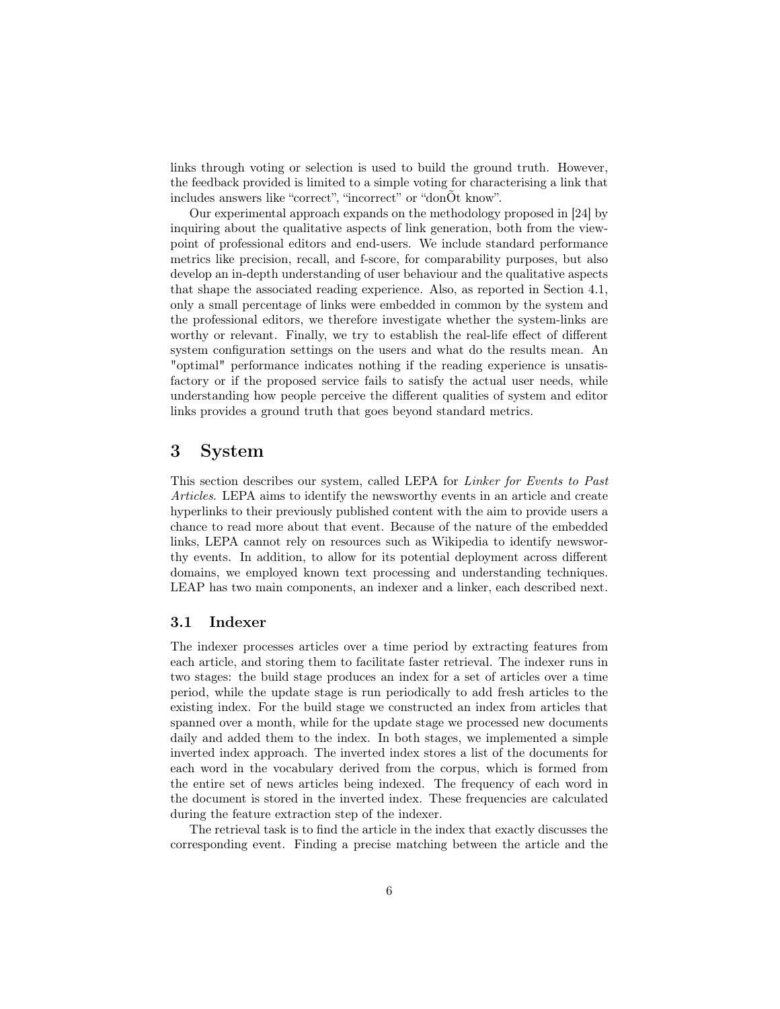links through voting or selection is used to build the ground truth. However, the feedback provided is limited to a simple voting for characterising a link that includes answers like "correct", "incorrect" or "donÕt know".

Our experimental approach expands on the methodology proposed in [24] by inquiring about the qualitative aspects of link generation, both from the viewpoint of professional editors and end-users. We include standard performance metrics like precision, recall, and f-score, for comparability purposes, but also develop an in-depth understanding of user behaviour and the qualitative aspects that shape the associated reading experience. Also, as reported in Section 4.1, only a small percentage of links were embedded in common by the system and the professional editors, we therefore investigate whether the system-links are worthy or relevant. Finally, we try to establish the real-life effect of different system configuration settings on the users and what do the results mean. An "optimal" performance indicates nothing if the reading experience is unsatisfactory or if the proposed service fails to satisfy the actual user needs, while understanding how people perceive the different qualities of system and editor links provides a ground truth that goes beyond standard metrics.

# 3 System

This section describes our system, called LEPA for Linker for Events to Past Articles. LEPA aims to identify the newsworthy events in an article and create hyperlinks to their previously published content with the aim to provide users a chance to read more about that event. Because of the nature of the embedded links, LEPA cannot rely on resources such as Wikipedia to identify newsworthy events. In addition, to allow for its potential deployment across different domains, we employed known text processing and understanding techniques. LEAP has two main components, an indexer and a linker, each described next.

# 3.1 Indexer

The indexer processes articles over a time period by extracting features from each article, and storing them to facilitate faster retrieval. The indexer runs in two stages: the build stage produces an index for a set of articles over a time period, while the update stage is run periodically to add fresh articles to the existing index. For the build stage we constructed an index from articles that spanned over a month, while for the update stage we processed new documents daily and added them to the index. In both stages, we implemented a simple inverted index approach. The inverted index stores a list of the documents for each word in the vocabulary derived from the corpus, which is formed from the entire set of news articles being indexed. The frequency of each word in the document is stored in the inverted index. These frequencies are calculated during the feature extraction step of the indexer.

The retrieval task is to find the article in the index that exactly discusses the corresponding event. Finding a precise matching between the article and the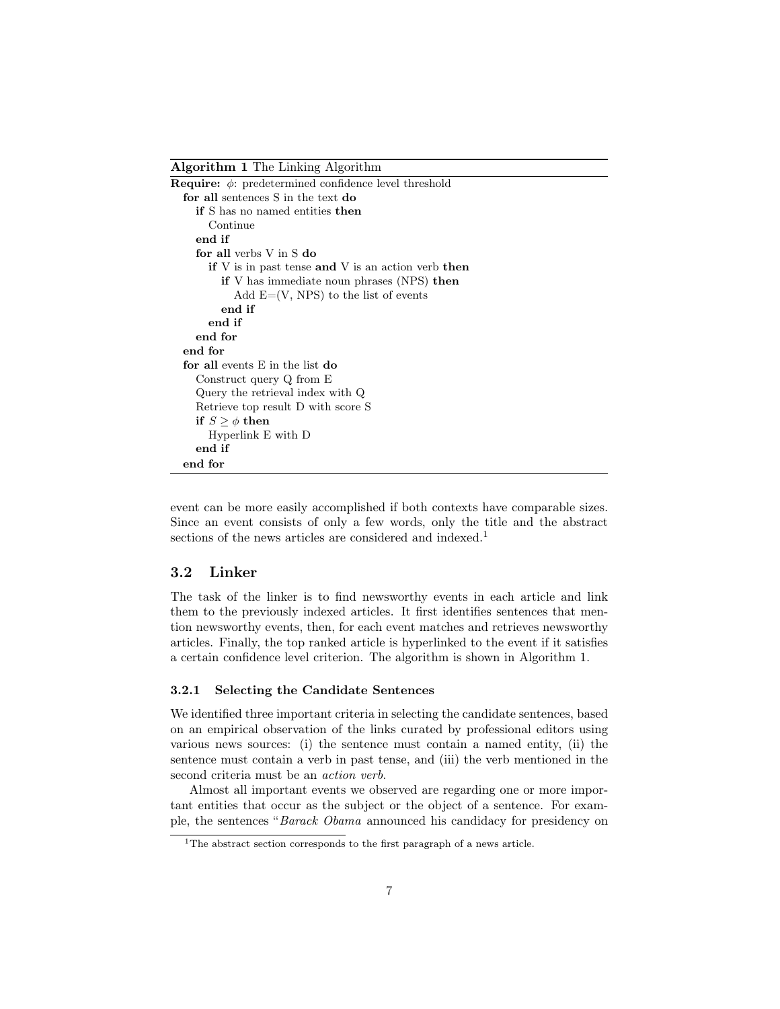Algorithm 1 The Linking Algorithm

event can be more easily accomplished if both contexts have comparable sizes. Since an event consists of only a few words, only the title and the abstract sections of the news articles are considered and indexed.<sup>1</sup>

# 3.2 Linker

The task of the linker is to find newsworthy events in each article and link them to the previously indexed articles. It first identifies sentences that mention newsworthy events, then, for each event matches and retrieves newsworthy articles. Finally, the top ranked article is hyperlinked to the event if it satisfies a certain confidence level criterion. The algorithm is shown in Algorithm 1.

# 3.2.1 Selecting the Candidate Sentences

We identified three important criteria in selecting the candidate sentences, based on an empirical observation of the links curated by professional editors using various news sources: (i) the sentence must contain a named entity, (ii) the sentence must contain a verb in past tense, and (iii) the verb mentioned in the second criteria must be an action verb.

Almost all important events we observed are regarding one or more important entities that occur as the subject or the object of a sentence. For example, the sentences "Barack Obama announced his candidacy for presidency on

 $^1\mathrm{The}$  abstract section corresponds to the first paragraph of a news article.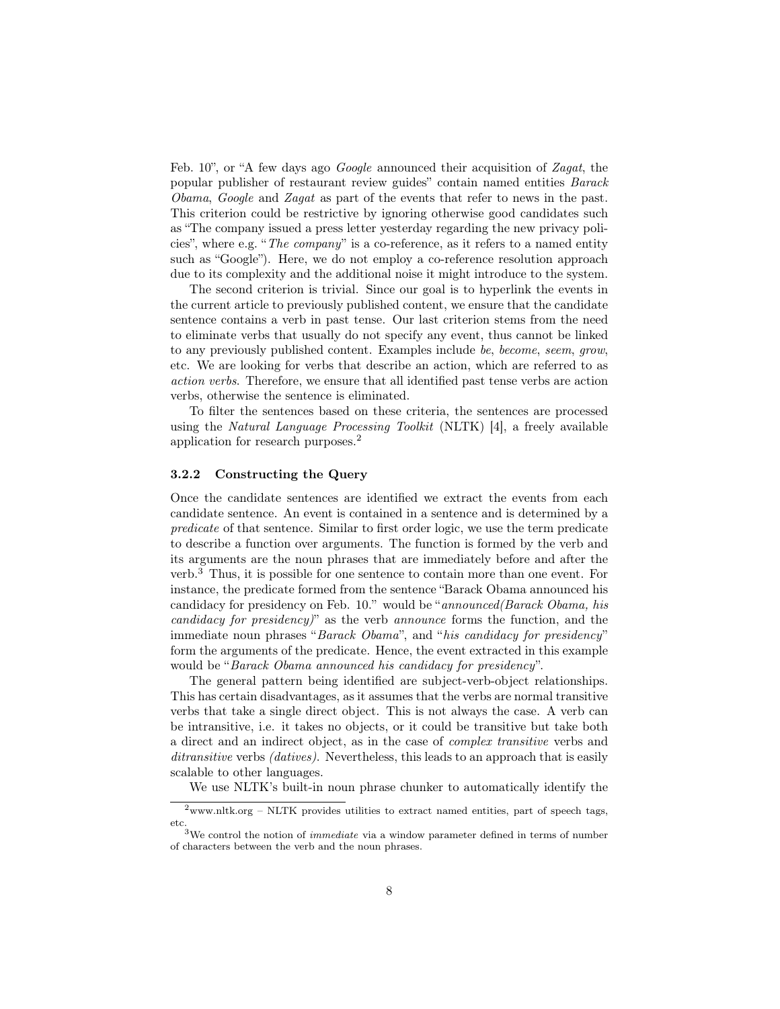Feb. 10", or "A few days ago *Google* announced their acquisition of Zagat, the popular publisher of restaurant review guides" contain named entities Barack Obama, Google and Zagat as part of the events that refer to news in the past. This criterion could be restrictive by ignoring otherwise good candidates such as "The company issued a press letter yesterday regarding the new privacy policies", where e.g. "The company" is a co-reference, as it refers to a named entity such as "Google"). Here, we do not employ a co-reference resolution approach due to its complexity and the additional noise it might introduce to the system.

The second criterion is trivial. Since our goal is to hyperlink the events in the current article to previously published content, we ensure that the candidate sentence contains a verb in past tense. Our last criterion stems from the need to eliminate verbs that usually do not specify any event, thus cannot be linked to any previously published content. Examples include be, become, seem, grow, etc. We are looking for verbs that describe an action, which are referred to as action verbs. Therefore, we ensure that all identified past tense verbs are action verbs, otherwise the sentence is eliminated.

To filter the sentences based on these criteria, the sentences are processed using the *Natural Language Processing Toolkit* (NLTK) [4], a freely available application for research purposes.<sup>2</sup>

### 3.2.2 Constructing the Query

Once the candidate sentences are identified we extract the events from each candidate sentence. An event is contained in a sentence and is determined by a predicate of that sentence. Similar to first order logic, we use the term predicate to describe a function over arguments. The function is formed by the verb and its arguments are the noun phrases that are immediately before and after the verb.<sup>3</sup> Thus, it is possible for one sentence to contain more than one event. For instance, the predicate formed from the sentence "Barack Obama announced his candidacy for presidency on Feb. 10." would be "announced(Barack Obama, his candidacy for presidency)" as the verb announce forms the function, and the immediate noun phrases "Barack Obama", and "his candidacy for presidency" form the arguments of the predicate. Hence, the event extracted in this example would be "Barack Obama announced his candidacy for presidency".

The general pattern being identified are subject-verb-object relationships. This has certain disadvantages, as it assumes that the verbs are normal transitive verbs that take a single direct object. This is not always the case. A verb can be intransitive, i.e. it takes no objects, or it could be transitive but take both a direct and an indirect object, as in the case of complex transitive verbs and ditransitive verbs *(datives)*. Nevertheless, this leads to an approach that is easily scalable to other languages.

We use NLTK's built-in noun phrase chunker to automatically identify the

 $^{2}$ www.nltk.org – NLTK provides utilities to extract named entities, part of speech tags, etc.

<sup>&</sup>lt;sup>3</sup>We control the notion of *immediate* via a window parameter defined in terms of number of characters between the verb and the noun phrases.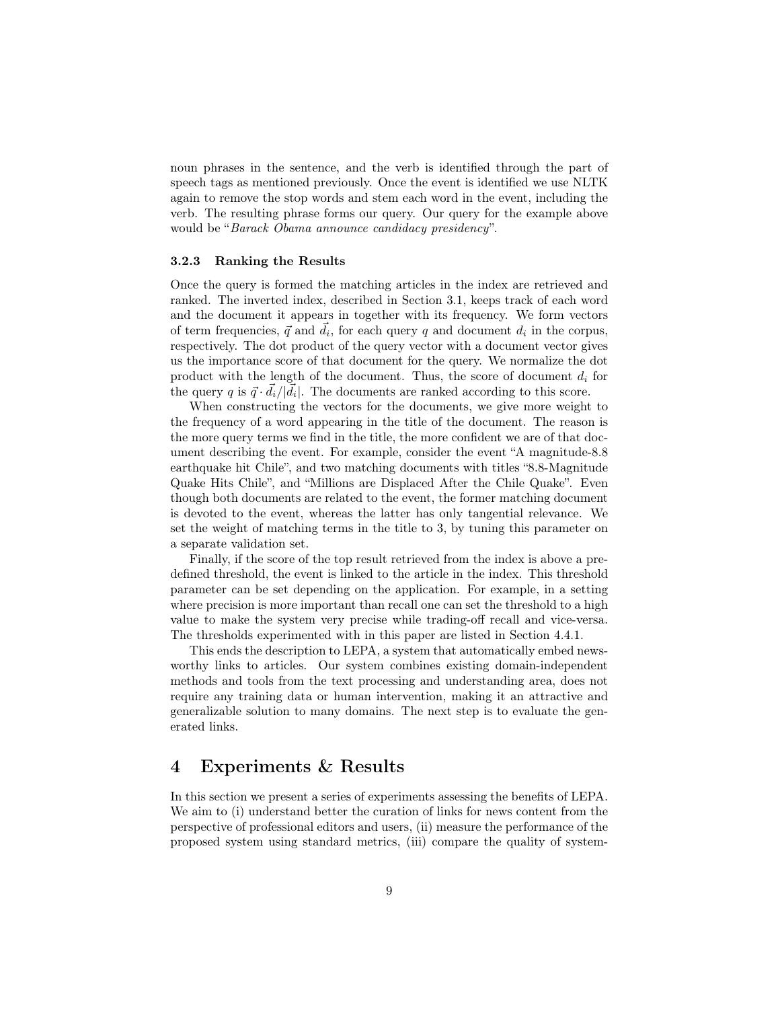noun phrases in the sentence, and the verb is identified through the part of speech tags as mentioned previously. Once the event is identified we use NLTK again to remove the stop words and stem each word in the event, including the verb. The resulting phrase forms our query. Our query for the example above would be "Barack Obama announce candidacy presidency".

#### 3.2.3 Ranking the Results

Once the query is formed the matching articles in the index are retrieved and ranked. The inverted index, described in Section 3.1, keeps track of each word and the document it appears in together with its frequency. We form vectors of term frequencies,  $\vec{q}$  and  $\vec{d}_i$ , for each query q and document  $d_i$  in the corpus, respectively. The dot product of the query vector with a document vector gives us the importance score of that document for the query. We normalize the dot product with the length of the document. Thus, the score of document  $d_i$  for the query q is  $\vec{q} \cdot \vec{d}_i / |\vec{d}_i|$ . The documents are ranked according to this score.

When constructing the vectors for the documents, we give more weight to the frequency of a word appearing in the title of the document. The reason is the more query terms we find in the title, the more confident we are of that document describing the event. For example, consider the event "A magnitude-8.8 earthquake hit Chile", and two matching documents with titles "8.8-Magnitude Quake Hits Chile", and "Millions are Displaced After the Chile Quake". Even though both documents are related to the event, the former matching document is devoted to the event, whereas the latter has only tangential relevance. We set the weight of matching terms in the title to 3, by tuning this parameter on a separate validation set.

Finally, if the score of the top result retrieved from the index is above a predefined threshold, the event is linked to the article in the index. This threshold parameter can be set depending on the application. For example, in a setting where precision is more important than recall one can set the threshold to a high value to make the system very precise while trading-off recall and vice-versa. The thresholds experimented with in this paper are listed in Section 4.4.1.

This ends the description to LEPA, a system that automatically embed newsworthy links to articles. Our system combines existing domain-independent methods and tools from the text processing and understanding area, does not require any training data or human intervention, making it an attractive and generalizable solution to many domains. The next step is to evaluate the generated links.

# 4 Experiments & Results

In this section we present a series of experiments assessing the benefits of LEPA. We aim to (i) understand better the curation of links for news content from the perspective of professional editors and users, (ii) measure the performance of the proposed system using standard metrics, (iii) compare the quality of system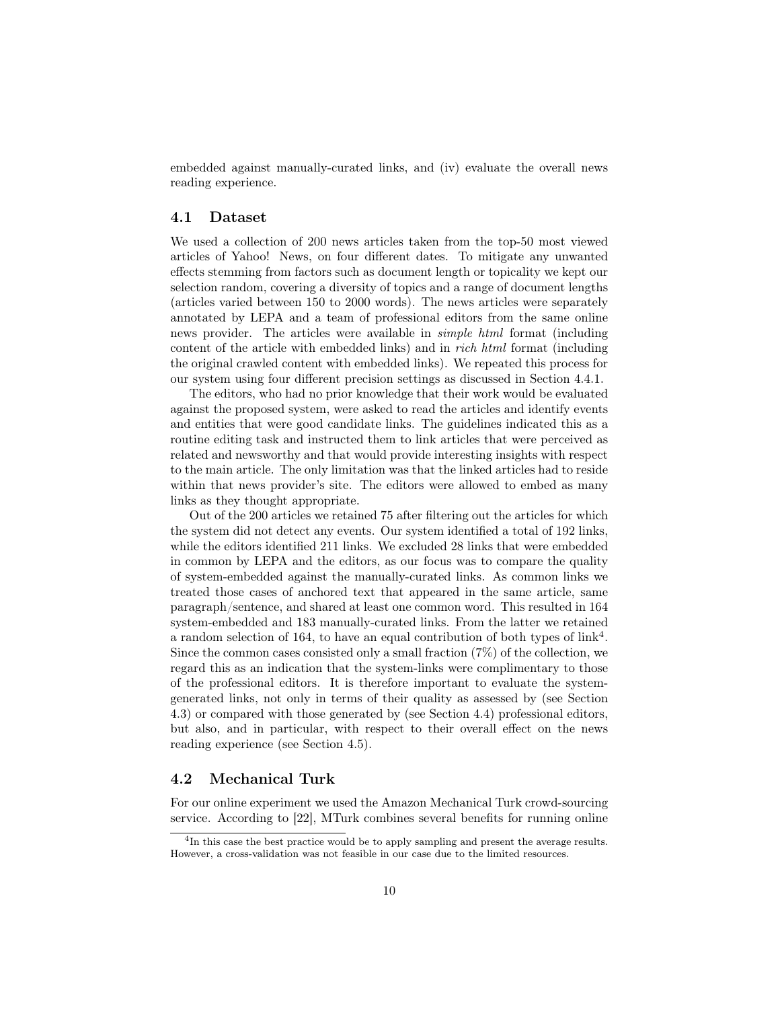embedded against manually-curated links, and (iv) evaluate the overall news reading experience.

# 4.1 Dataset

We used a collection of 200 news articles taken from the top-50 most viewed articles of Yahoo! News, on four different dates. To mitigate any unwanted effects stemming from factors such as document length or topicality we kept our selection random, covering a diversity of topics and a range of document lengths (articles varied between 150 to 2000 words). The news articles were separately annotated by LEPA and a team of professional editors from the same online news provider. The articles were available in simple html format (including content of the article with embedded links) and in rich html format (including the original crawled content with embedded links). We repeated this process for our system using four different precision settings as discussed in Section 4.4.1.

The editors, who had no prior knowledge that their work would be evaluated against the proposed system, were asked to read the articles and identify events and entities that were good candidate links. The guidelines indicated this as a routine editing task and instructed them to link articles that were perceived as related and newsworthy and that would provide interesting insights with respect to the main article. The only limitation was that the linked articles had to reside within that news provider's site. The editors were allowed to embed as many links as they thought appropriate.

Out of the 200 articles we retained 75 after filtering out the articles for which the system did not detect any events. Our system identified a total of 192 links, while the editors identified 211 links. We excluded 28 links that were embedded in common by LEPA and the editors, as our focus was to compare the quality of system-embedded against the manually-curated links. As common links we treated those cases of anchored text that appeared in the same article, same paragraph/sentence, and shared at least one common word. This resulted in 164 system-embedded and 183 manually-curated links. From the latter we retained a random selection of 164, to have an equal contribution of both types of  $link<sup>4</sup>$ . Since the common cases consisted only a small fraction (7%) of the collection, we regard this as an indication that the system-links were complimentary to those of the professional editors. It is therefore important to evaluate the systemgenerated links, not only in terms of their quality as assessed by (see Section 4.3) or compared with those generated by (see Section 4.4) professional editors, but also, and in particular, with respect to their overall effect on the news reading experience (see Section 4.5).

### 4.2 Mechanical Turk

For our online experiment we used the Amazon Mechanical Turk crowd-sourcing service. According to [22], MTurk combines several benefits for running online

<sup>&</sup>lt;sup>4</sup>In this case the best practice would be to apply sampling and present the average results. However, a cross-validation was not feasible in our case due to the limited resources.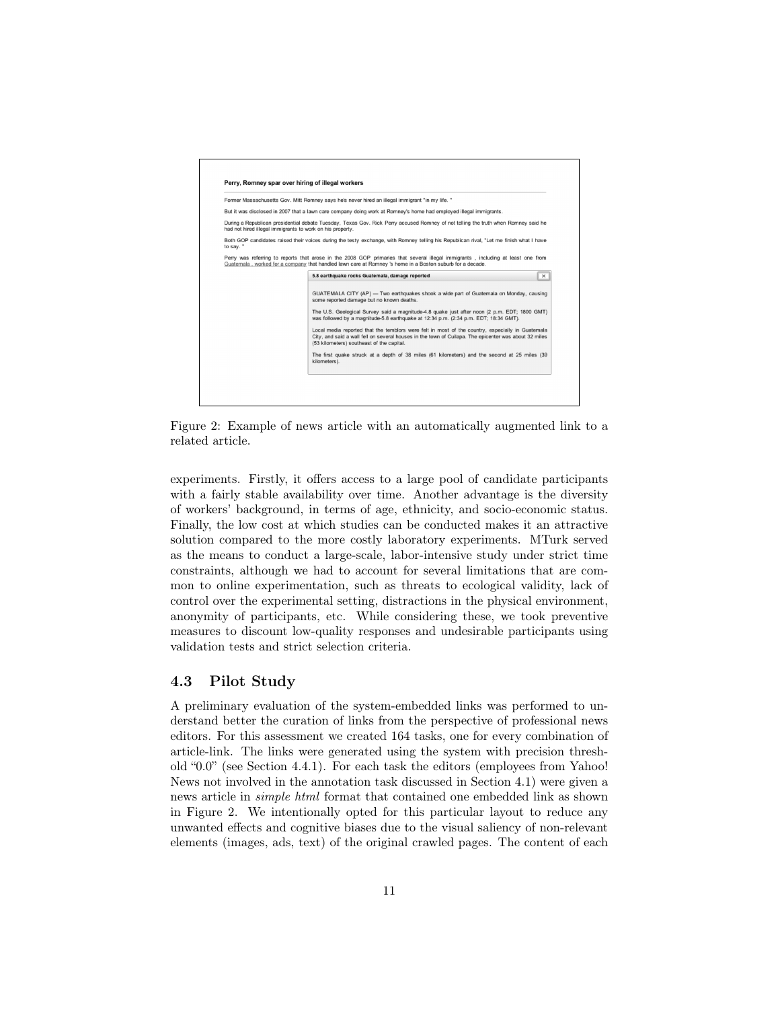

Figure 2: Example of news article with an automatically augmented link to a related article.

experiments. Firstly, it offers access to a large pool of candidate participants with a fairly stable availability over time. Another advantage is the diversity of workers' background, in terms of age, ethnicity, and socio-economic status. Finally, the low cost at which studies can be conducted makes it an attractive solution compared to the more costly laboratory experiments. MTurk served as the means to conduct a large-scale, labor-intensive study under strict time constraints, although we had to account for several limitations that are common to online experimentation, such as threats to ecological validity, lack of control over the experimental setting, distractions in the physical environment, anonymity of participants, etc. While considering these, we took preventive measures to discount low-quality responses and undesirable participants using validation tests and strict selection criteria.

# 4.3 Pilot Study

A preliminary evaluation of the system-embedded links was performed to understand better the curation of links from the perspective of professional news editors. For this assessment we created 164 tasks, one for every combination of article-link. The links were generated using the system with precision threshold "0.0" (see Section 4.4.1). For each task the editors (employees from Yahoo! News not involved in the annotation task discussed in Section 4.1) were given a news article in simple html format that contained one embedded link as shown in Figure 2. We intentionally opted for this particular layout to reduce any unwanted effects and cognitive biases due to the visual saliency of non-relevant elements (images, ads, text) of the original crawled pages. The content of each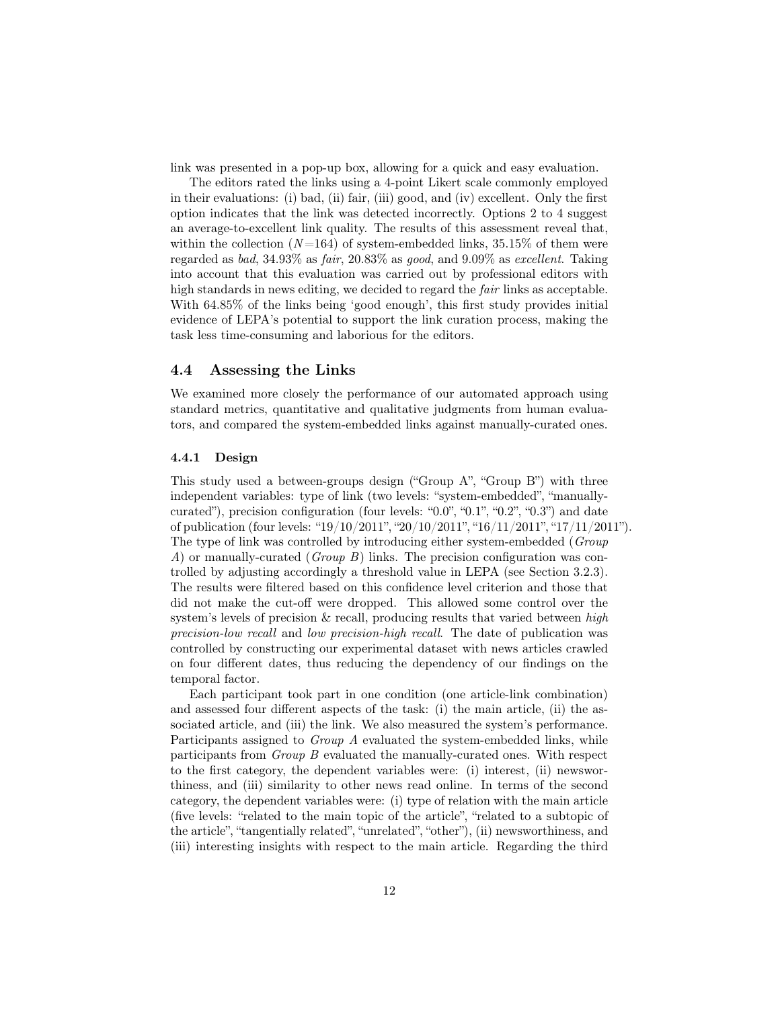link was presented in a pop-up box, allowing for a quick and easy evaluation.

The editors rated the links using a 4-point Likert scale commonly employed in their evaluations: (i) bad, (ii) fair, (iii) good, and (iv) excellent. Only the first option indicates that the link was detected incorrectly. Options 2 to 4 suggest an average-to-excellent link quality. The results of this assessment reveal that, within the collection  $(N=164)$  of system-embedded links, 35.15% of them were regarded as bad, 34.93% as fair, 20.83% as good, and 9.09% as excellent. Taking into account that this evaluation was carried out by professional editors with high standards in news editing, we decided to regard the fair links as acceptable. With 64.85% of the links being 'good enough', this first study provides initial evidence of LEPA's potential to support the link curation process, making the task less time-consuming and laborious for the editors.

# 4.4 Assessing the Links

We examined more closely the performance of our automated approach using standard metrics, quantitative and qualitative judgments from human evaluators, and compared the system-embedded links against manually-curated ones.

### 4.4.1 Design

This study used a between-groups design ("Group A", "Group B") with three independent variables: type of link (two levels: "system-embedded", "manuallycurated"), precision configuration (four levels: "0.0", "0.1", "0.2", "0.3") and date of publication (four levels: "19/10/2011", "20/10/2011", "16/11/2011", "17/11/2011"). The type of link was controlled by introducing either system-embedded (Group A) or manually-curated (Group B) links. The precision configuration was controlled by adjusting accordingly a threshold value in LEPA (see Section 3.2.3). The results were filtered based on this confidence level criterion and those that did not make the cut-off were dropped. This allowed some control over the system's levels of precision  $\&$  recall, producing results that varied between high precision-low recall and low precision-high recall. The date of publication was controlled by constructing our experimental dataset with news articles crawled on four different dates, thus reducing the dependency of our findings on the temporal factor.

Each participant took part in one condition (one article-link combination) and assessed four different aspects of the task: (i) the main article, (ii) the associated article, and (iii) the link. We also measured the system's performance. Participants assigned to *Group A* evaluated the system-embedded links, while participants from Group B evaluated the manually-curated ones. With respect to the first category, the dependent variables were: (i) interest, (ii) newsworthiness, and (iii) similarity to other news read online. In terms of the second category, the dependent variables were: (i) type of relation with the main article (five levels: "related to the main topic of the article", "related to a subtopic of the article", "tangentially related", "unrelated", "other"), (ii) newsworthiness, and (iii) interesting insights with respect to the main article. Regarding the third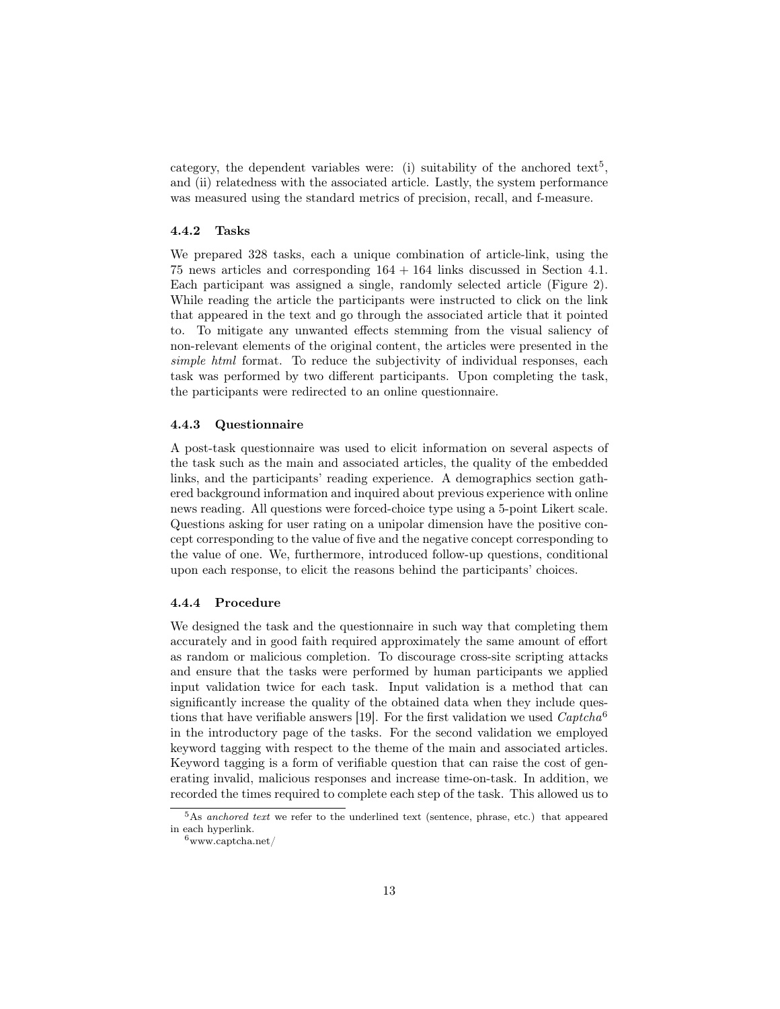category, the dependent variables were: (i) suitability of the anchored text<sup>5</sup>, and (ii) relatedness with the associated article. Lastly, the system performance was measured using the standard metrics of precision, recall, and f-measure.

### 4.4.2 Tasks

We prepared 328 tasks, each a unique combination of article-link, using the 75 news articles and corresponding 164 + 164 links discussed in Section 4.1. Each participant was assigned a single, randomly selected article (Figure 2). While reading the article the participants were instructed to click on the link that appeared in the text and go through the associated article that it pointed to. To mitigate any unwanted effects stemming from the visual saliency of non-relevant elements of the original content, the articles were presented in the simple html format. To reduce the subjectivity of individual responses, each task was performed by two different participants. Upon completing the task, the participants were redirected to an online questionnaire.

#### 4.4.3 Questionnaire

A post-task questionnaire was used to elicit information on several aspects of the task such as the main and associated articles, the quality of the embedded links, and the participants' reading experience. A demographics section gathered background information and inquired about previous experience with online news reading. All questions were forced-choice type using a 5-point Likert scale. Questions asking for user rating on a unipolar dimension have the positive concept corresponding to the value of five and the negative concept corresponding to the value of one. We, furthermore, introduced follow-up questions, conditional upon each response, to elicit the reasons behind the participants' choices.

# 4.4.4 Procedure

We designed the task and the questionnaire in such way that completing them accurately and in good faith required approximately the same amount of effort as random or malicious completion. To discourage cross-site scripting attacks and ensure that the tasks were performed by human participants we applied input validation twice for each task. Input validation is a method that can significantly increase the quality of the obtained data when they include questions that have verifiable answers [19]. For the first validation we used  $Captcha^6$ in the introductory page of the tasks. For the second validation we employed keyword tagging with respect to the theme of the main and associated articles. Keyword tagging is a form of verifiable question that can raise the cost of generating invalid, malicious responses and increase time-on-task. In addition, we recorded the times required to complete each step of the task. This allowed us to

 $5$ As anchored text we refer to the underlined text (sentence, phrase, etc.) that appeared in each hyperlink.

 $6$ www.captcha.net/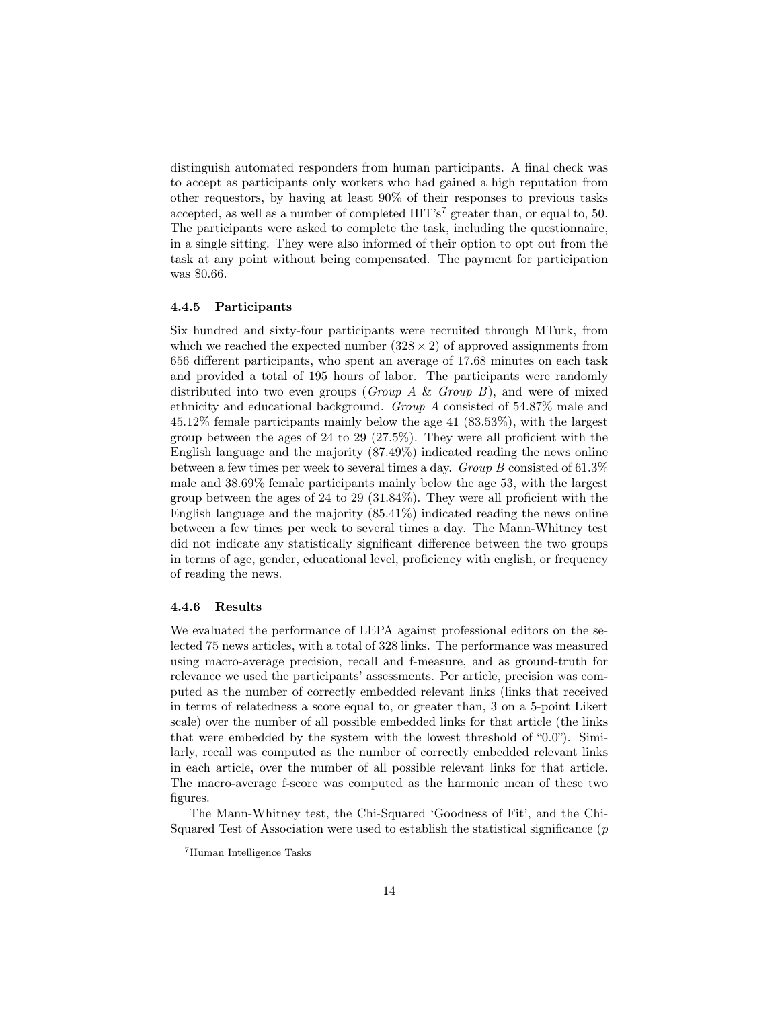distinguish automated responders from human participants. A final check was to accept as participants only workers who had gained a high reputation from other requestors, by having at least 90% of their responses to previous tasks accepted, as well as a number of completed  $\text{HIT's}^7$  greater than, or equal to, 50. The participants were asked to complete the task, including the questionnaire, in a single sitting. They were also informed of their option to opt out from the task at any point without being compensated. The payment for participation was \$0.66.

### 4.4.5 Participants

Six hundred and sixty-four participants were recruited through MTurk, from which we reached the expected number  $(328 \times 2)$  of approved assignments from 656 different participants, who spent an average of 17.68 minutes on each task and provided a total of 195 hours of labor. The participants were randomly distributed into two even groups (*Group A & Group B*), and were of mixed ethnicity and educational background. Group A consisted of 54.87% male and 45.12% female participants mainly below the age 41 (83.53%), with the largest group between the ages of 24 to 29 (27.5%). They were all proficient with the English language and the majority (87.49%) indicated reading the news online between a few times per week to several times a day. Group B consisted of 61.3% male and 38.69% female participants mainly below the age 53, with the largest group between the ages of 24 to 29 (31.84%). They were all proficient with the English language and the majority (85.41%) indicated reading the news online between a few times per week to several times a day. The Mann-Whitney test did not indicate any statistically significant difference between the two groups in terms of age, gender, educational level, proficiency with english, or frequency of reading the news.

#### 4.4.6 Results

We evaluated the performance of LEPA against professional editors on the selected 75 news articles, with a total of 328 links. The performance was measured using macro-average precision, recall and f-measure, and as ground-truth for relevance we used the participants' assessments. Per article, precision was computed as the number of correctly embedded relevant links (links that received in terms of relatedness a score equal to, or greater than, 3 on a 5-point Likert scale) over the number of all possible embedded links for that article (the links that were embedded by the system with the lowest threshold of "0.0"). Similarly, recall was computed as the number of correctly embedded relevant links in each article, over the number of all possible relevant links for that article. The macro-average f-score was computed as the harmonic mean of these two figures.

The Mann-Whitney test, the Chi-Squared 'Goodness of Fit', and the Chi-Squared Test of Association were used to establish the statistical significance  $(p)$ 

<sup>7</sup>Human Intelligence Tasks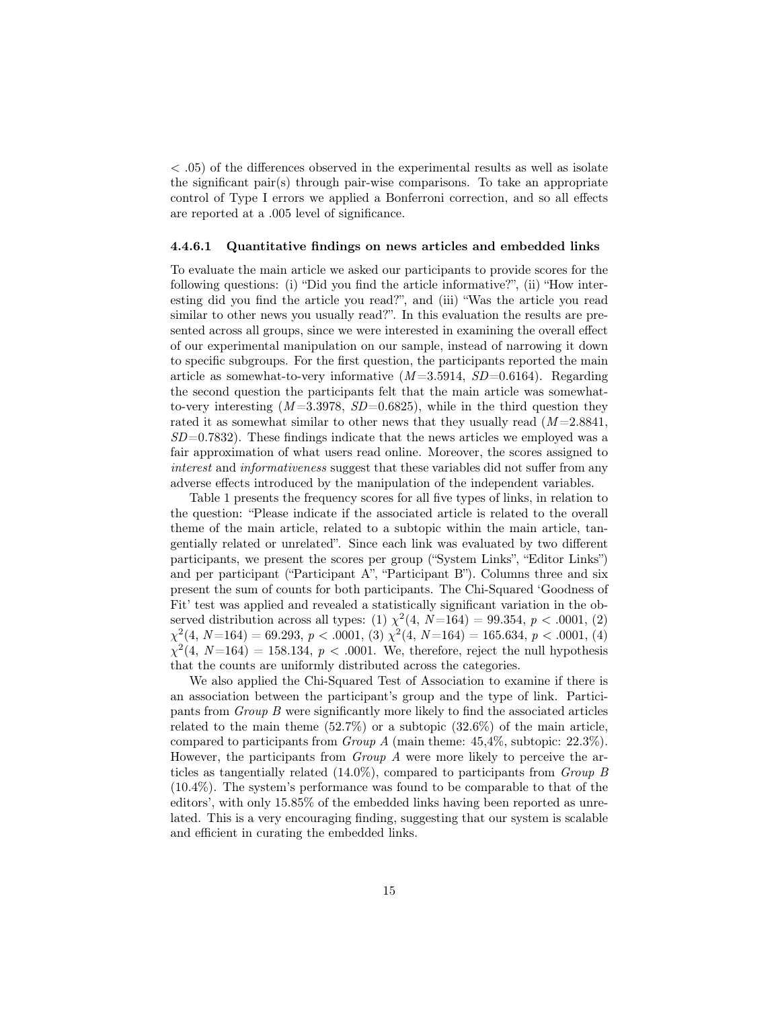< .05) of the differences observed in the experimental results as well as isolate the significant pair(s) through pair-wise comparisons. To take an appropriate control of Type I errors we applied a Bonferroni correction, and so all effects are reported at a .005 level of significance.

#### 4.4.6.1 Quantitative findings on news articles and embedded links

To evaluate the main article we asked our participants to provide scores for the following questions: (i) "Did you find the article informative?", (ii) "How interesting did you find the article you read?", and (iii) "Was the article you read similar to other news you usually read?". In this evaluation the results are presented across all groups, since we were interested in examining the overall effect of our experimental manipulation on our sample, instead of narrowing it down to specific subgroups. For the first question, the participants reported the main article as somewhat-to-very informative  $(M=3.5914, SD=0.6164)$ . Regarding the second question the participants felt that the main article was somewhatto-very interesting  $(M=3.3978, SD=0.6825)$ , while in the third question they rated it as somewhat similar to other news that they usually read  $(M=2.8841,$  $SD=0.7832$ . These findings indicate that the news articles we employed was a fair approximation of what users read online. Moreover, the scores assigned to interest and *informativeness* suggest that these variables did not suffer from any adverse effects introduced by the manipulation of the independent variables.

Table 1 presents the frequency scores for all five types of links, in relation to the question: "Please indicate if the associated article is related to the overall theme of the main article, related to a subtopic within the main article, tangentially related or unrelated". Since each link was evaluated by two different participants, we present the scores per group ("System Links", "Editor Links") and per participant ("Participant A", "Participant B"). Columns three and six present the sum of counts for both participants. The Chi-Squared 'Goodness of Fit' test was applied and revealed a statistically significant variation in the observed distribution across all types: (1)  $\chi^2(4, N=164) = 99.354, p < .0001, (2)$  $\chi^2(4, N=164) = 69.293, p < .0001, (3)$   $\chi^2(4, N=164) = 165.634, p < .0001, (4)$  $\chi^2(4, N=164) = 158.134, p < .0001$ . We, therefore, reject the null hypothesis that the counts are uniformly distributed across the categories.

We also applied the Chi-Squared Test of Association to examine if there is an association between the participant's group and the type of link. Participants from Group B were significantly more likely to find the associated articles related to the main theme  $(52.7\%)$  or a subtopic  $(32.6\%)$  of the main article, compared to participants from Group A (main theme: 45,4%, subtopic: 22.3%). However, the participants from Group A were more likely to perceive the articles as tangentially related (14.0%), compared to participants from Group B (10.4%). The system's performance was found to be comparable to that of the editors', with only 15.85% of the embedded links having been reported as unrelated. This is a very encouraging finding, suggesting that our system is scalable and efficient in curating the embedded links.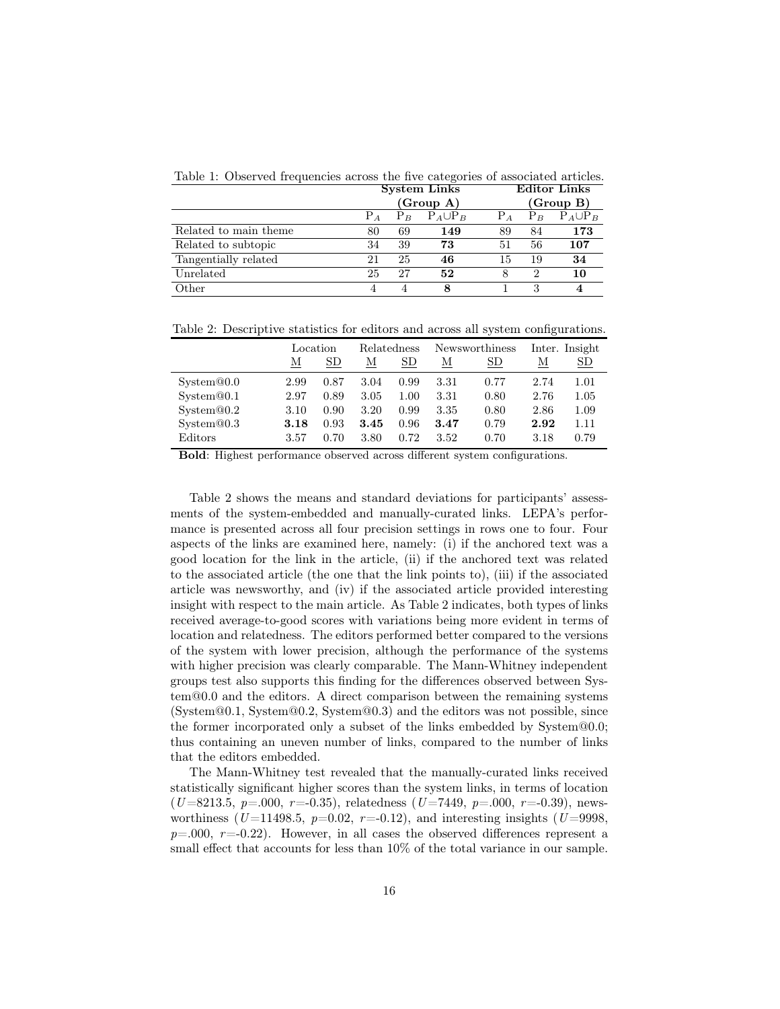Table 1: Observed frequencies across the five categories of associated articles.

|                       | <b>System Links</b> |    |                      |       | <b>Editor Links</b> |                      |  |  |
|-----------------------|---------------------|----|----------------------|-------|---------------------|----------------------|--|--|
|                       |                     |    | (Group A)            |       | (Group B)           |                      |  |  |
|                       | $P_A$               |    | $P_B$ $P_A \cup P_B$ | $P_A$ |                     | $P_B$ $P_A \cup P_B$ |  |  |
| Related to main theme | 80                  | 69 | 149                  | 89    | 84                  | 173                  |  |  |
| Related to subtopic   | 34                  | 39 | 73                   | 51    | 56                  | 107                  |  |  |
| Tangentially related  | 21                  | 25 | 46                   | 15    | 19                  | 34                   |  |  |
| Unrelated             | 25                  | 27 | 52                   | 8     | 2                   | 10                   |  |  |
| Other                 | 4                   |    | 8                    |       | 3                   | $\overline{4}$       |  |  |

Table 2: Descriptive statistics for editors and across all system configurations.

|                         | Location |      | Relatedness |      | Newsworthiness |           | Inter. Insight |             |
|-------------------------|----------|------|-------------|------|----------------|-----------|----------------|-------------|
|                         | М        | SD   | М           | SD   | М              | <b>SD</b> | М              | $_{\rm SD}$ |
| S <sub>v</sub> stem@0.0 | 2.99     | 0.87 | 3.04        | 0.99 | 3.31           | 0.77      | 2.74           | 1.01        |
| System@0.1              | 2.97     | 0.89 | 3.05        | 1.00 | 3.31           | 0.80      | 2.76           | 1.05        |
| $S$ ystem $@0.2$        | 3.10     | 0.90 | 3.20        | 0.99 | 3.35           | 0.80      | 2.86           | 1.09        |
| System@0.3              | 3.18     | 0.93 | 3.45        | 0.96 | 3.47           | 0.79      | 2.92           | 1.11        |
| Editors                 | 3.57     | 0.70 | 3.80        | 0.72 | 3.52           | 0.70      | 3.18           | 0.79        |

Bold: Highest performance observed across different system configurations.

Table 2 shows the means and standard deviations for participants' assessments of the system-embedded and manually-curated links. LEPA's performance is presented across all four precision settings in rows one to four. Four aspects of the links are examined here, namely: (i) if the anchored text was a good location for the link in the article, (ii) if the anchored text was related to the associated article (the one that the link points to), (iii) if the associated article was newsworthy, and (iv) if the associated article provided interesting insight with respect to the main article. As Table 2 indicates, both types of links received average-to-good scores with variations being more evident in terms of location and relatedness. The editors performed better compared to the versions of the system with lower precision, although the performance of the systems with higher precision was clearly comparable. The Mann-Whitney independent groups test also supports this finding for the differences observed between System@0.0 and the editors. A direct comparison between the remaining systems (System@0.1, System@0.2, System@0.3) and the editors was not possible, since the former incorporated only a subset of the links embedded by System@0.0; thus containing an uneven number of links, compared to the number of links that the editors embedded.

The Mann-Whitney test revealed that the manually-curated links received statistically significant higher scores than the system links, in terms of location  $(U=8213.5, p=.000, r=.0.35),$  relatedness  $(U=7449, p=.000, r=.0.39),$  newsworthiness ( $U = 11498.5$ ,  $p=0.02$ ,  $r=-0.12$ ), and interesting insights ( $U = 9998$ ,  $p=.000, r=.022$ . However, in all cases the observed differences represent a small effect that accounts for less than  $10\%$  of the total variance in our sample.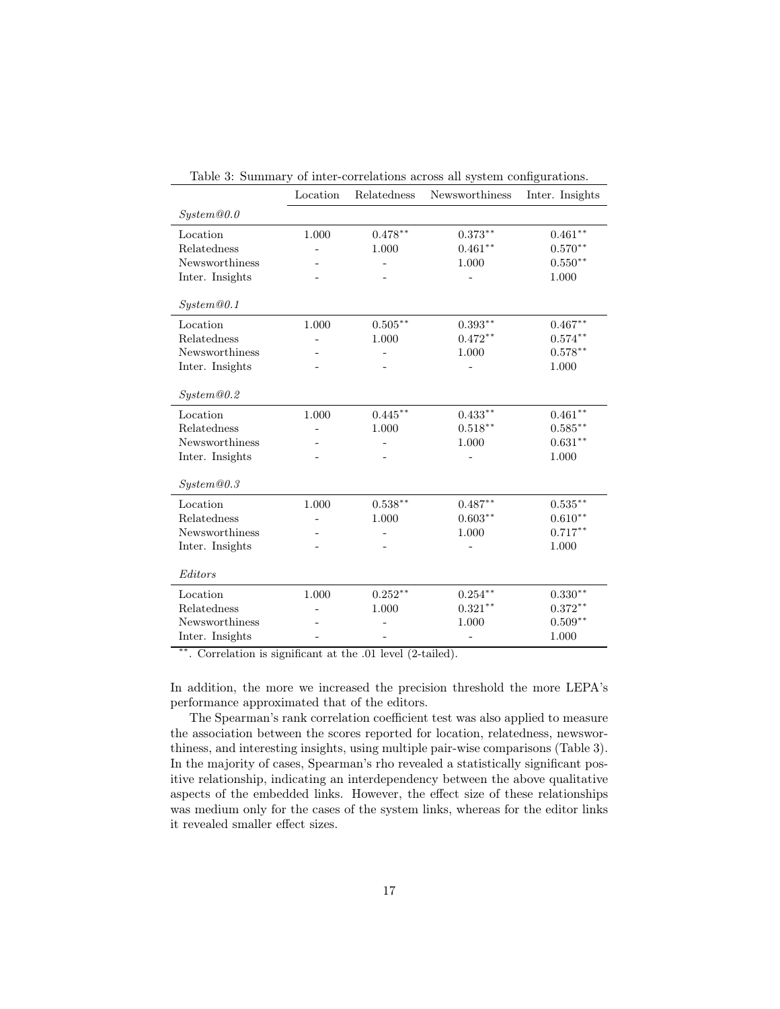|                 | Location | Relatedness | Newsworthiness | Inter. Insights |
|-----------------|----------|-------------|----------------|-----------------|
| System@0.0      |          |             |                |                 |
| Location        | 1.000    | $0.478***$  | $0.373***$     | $0.461***$      |
| Relatedness     |          | 1.000       | $0.461**$      | $0.570**$       |
| Newsworthiness  |          |             | 1.000          | $0.550**$       |
| Inter. Insights |          |             |                | 1.000           |
|                 |          |             |                |                 |
| System@0.1      |          |             |                |                 |
| Location        | 1.000    | $0.505***$  | $0.393**$      | $0.467**$       |
| Relatedness     |          | 1.000       | $0.472**$      | $0.574***$      |
| Newsworthiness  |          |             | 1.000          | $0.578**$       |
| Inter. Insights |          |             |                | 1.000           |
| System@0.2      |          |             |                |                 |
| Location        | 1.000    | $0.445***$  | $0.433***$     | $0.461**$       |
| Relatedness     |          | 1.000       | $0.518***$     | $0.585***$      |
| Newsworthiness  |          |             | 1.000          | $0.631**$       |
| Inter. Insights |          |             |                | 1.000           |
|                 |          |             |                |                 |
| System@0.3      |          |             |                |                 |
| Location        | 1.000    | $0.538**$   | $0.487**$      | $0.535***$      |
| Relatedness     |          | 1.000       | $0.603**$      | $0.610**$       |
| Newsworthiness  |          |             | 1.000          | $0.717***$      |
| Inter. Insights |          |             |                | 1.000           |
|                 |          |             |                |                 |
| Editors         |          |             |                |                 |
| Location        | 1.000    | $0.252**$   | $0.254***$     | $0.330**$       |
| Relatedness     |          | 1.000       | $0.321**$      | $0.372**$       |
| Newsworthiness  |          |             | 1.000          | $0.509**$       |
| Inter. Insights |          |             |                | 1.000           |

Table 3: Summary of inter-correlations across all system configurations.

∗∗. Correlation is significant at the .01 level (2-tailed).

In addition, the more we increased the precision threshold the more LEPA's performance approximated that of the editors.

The Spearman's rank correlation coefficient test was also applied to measure the association between the scores reported for location, relatedness, newsworthiness, and interesting insights, using multiple pair-wise comparisons (Table 3). In the majority of cases, Spearman's rho revealed a statistically significant positive relationship, indicating an interdependency between the above qualitative aspects of the embedded links. However, the effect size of these relationships was medium only for the cases of the system links, whereas for the editor links it revealed smaller effect sizes.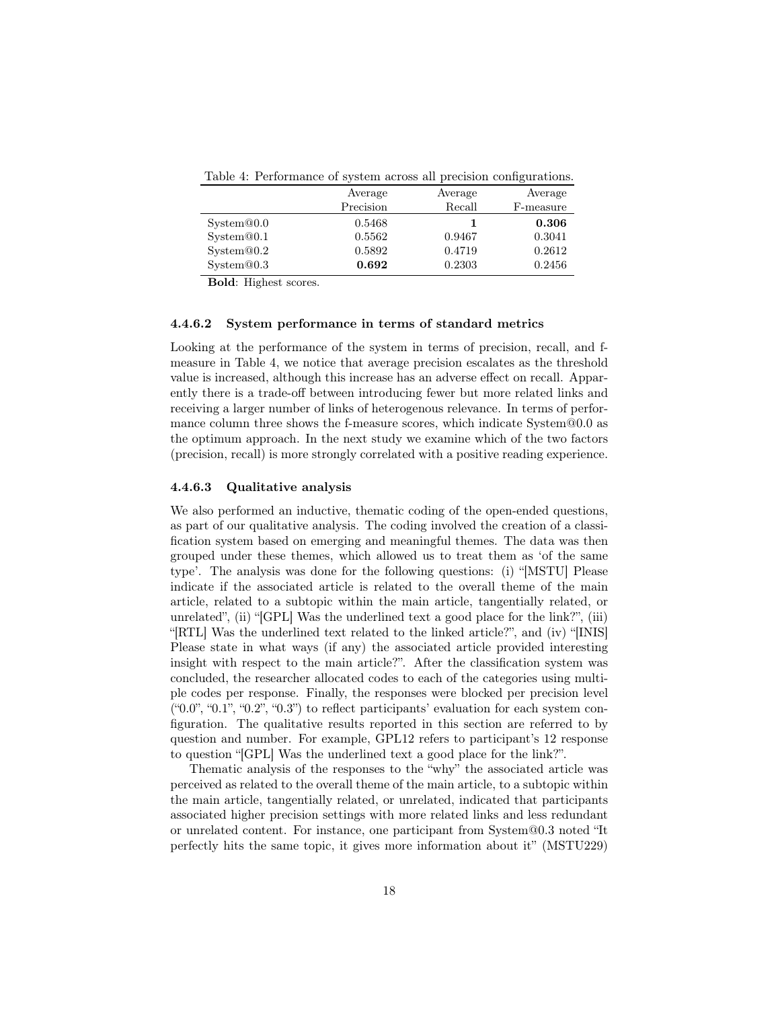|                  | Average   | Average | Average   |
|------------------|-----------|---------|-----------|
|                  | Precision | Recall  | F-measure |
| System@0.0       | 0.5468    |         | 0.306     |
| System@0.1       | 0.5562    | 0.9467  | 0.3041    |
| $S$ ystem $@0.2$ | 0.5892    | 0.4719  | 0.2612    |
| System@0.3       | 0.692     | 0.2303  | 0.2456    |

Table 4: Performance of system across all precision configurations.

Bold: Highest scores.

#### 4.4.6.2 System performance in terms of standard metrics

Looking at the performance of the system in terms of precision, recall, and fmeasure in Table 4, we notice that average precision escalates as the threshold value is increased, although this increase has an adverse effect on recall. Apparently there is a trade-off between introducing fewer but more related links and receiving a larger number of links of heterogenous relevance. In terms of performance column three shows the f-measure scores, which indicate System@0.0 as the optimum approach. In the next study we examine which of the two factors (precision, recall) is more strongly correlated with a positive reading experience.

#### 4.4.6.3 Qualitative analysis

We also performed an inductive, thematic coding of the open-ended questions, as part of our qualitative analysis. The coding involved the creation of a classification system based on emerging and meaningful themes. The data was then grouped under these themes, which allowed us to treat them as 'of the same type'. The analysis was done for the following questions: (i) "[MSTU] Please indicate if the associated article is related to the overall theme of the main article, related to a subtopic within the main article, tangentially related, or unrelated", (ii) "[GPL] Was the underlined text a good place for the link?", (iii) "[RTL] Was the underlined text related to the linked article?", and (iv) "[INIS] Please state in what ways (if any) the associated article provided interesting insight with respect to the main article?". After the classification system was concluded, the researcher allocated codes to each of the categories using multiple codes per response. Finally, the responses were blocked per precision level  $(40.0", 40.1", 40.2", 40.3")$  to reflect participants' evaluation for each system configuration. The qualitative results reported in this section are referred to by question and number. For example, GPL12 refers to participant's 12 response to question "[GPL] Was the underlined text a good place for the link?".

Thematic analysis of the responses to the "why" the associated article was perceived as related to the overall theme of the main article, to a subtopic within the main article, tangentially related, or unrelated, indicated that participants associated higher precision settings with more related links and less redundant or unrelated content. For instance, one participant from System@0.3 noted "It perfectly hits the same topic, it gives more information about it" (MSTU229)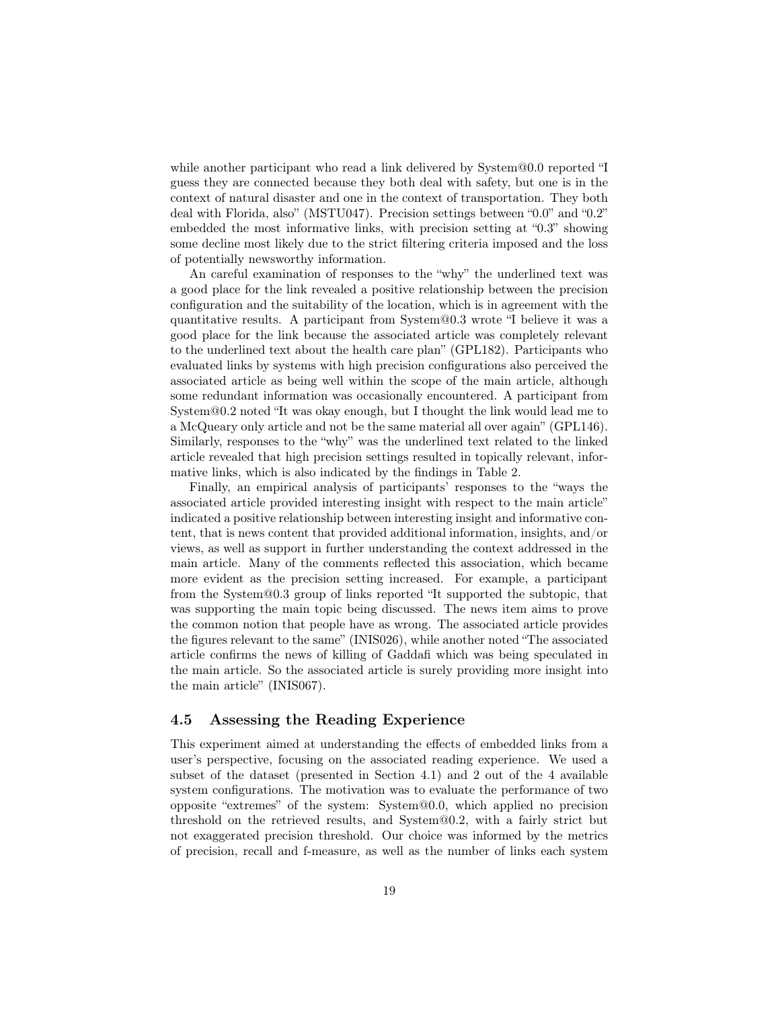while another participant who read a link delivered by System@0.0 reported "I guess they are connected because they both deal with safety, but one is in the context of natural disaster and one in the context of transportation. They both deal with Florida, also" (MSTU047). Precision settings between "0.0" and "0.2" embedded the most informative links, with precision setting at "0.3" showing some decline most likely due to the strict filtering criteria imposed and the loss of potentially newsworthy information.

An careful examination of responses to the "why" the underlined text was a good place for the link revealed a positive relationship between the precision configuration and the suitability of the location, which is in agreement with the quantitative results. A participant from System@0.3 wrote "I believe it was a good place for the link because the associated article was completely relevant to the underlined text about the health care plan" (GPL182). Participants who evaluated links by systems with high precision configurations also perceived the associated article as being well within the scope of the main article, although some redundant information was occasionally encountered. A participant from System@0.2 noted "It was okay enough, but I thought the link would lead me to a McQueary only article and not be the same material all over again" (GPL146). Similarly, responses to the "why" was the underlined text related to the linked article revealed that high precision settings resulted in topically relevant, informative links, which is also indicated by the findings in Table 2.

Finally, an empirical analysis of participants' responses to the "ways the associated article provided interesting insight with respect to the main article" indicated a positive relationship between interesting insight and informative content, that is news content that provided additional information, insights, and/or views, as well as support in further understanding the context addressed in the main article. Many of the comments reflected this association, which became more evident as the precision setting increased. For example, a participant from the System@0.3 group of links reported "It supported the subtopic, that was supporting the main topic being discussed. The news item aims to prove the common notion that people have as wrong. The associated article provides the figures relevant to the same" (INIS026), while another noted "The associated article confirms the news of killing of Gaddafi which was being speculated in the main article. So the associated article is surely providing more insight into the main article" (INIS067).

## 4.5 Assessing the Reading Experience

This experiment aimed at understanding the effects of embedded links from a user's perspective, focusing on the associated reading experience. We used a subset of the dataset (presented in Section 4.1) and 2 out of the 4 available system configurations. The motivation was to evaluate the performance of two opposite "extremes" of the system: System@0.0, which applied no precision threshold on the retrieved results, and System@0.2, with a fairly strict but not exaggerated precision threshold. Our choice was informed by the metrics of precision, recall and f-measure, as well as the number of links each system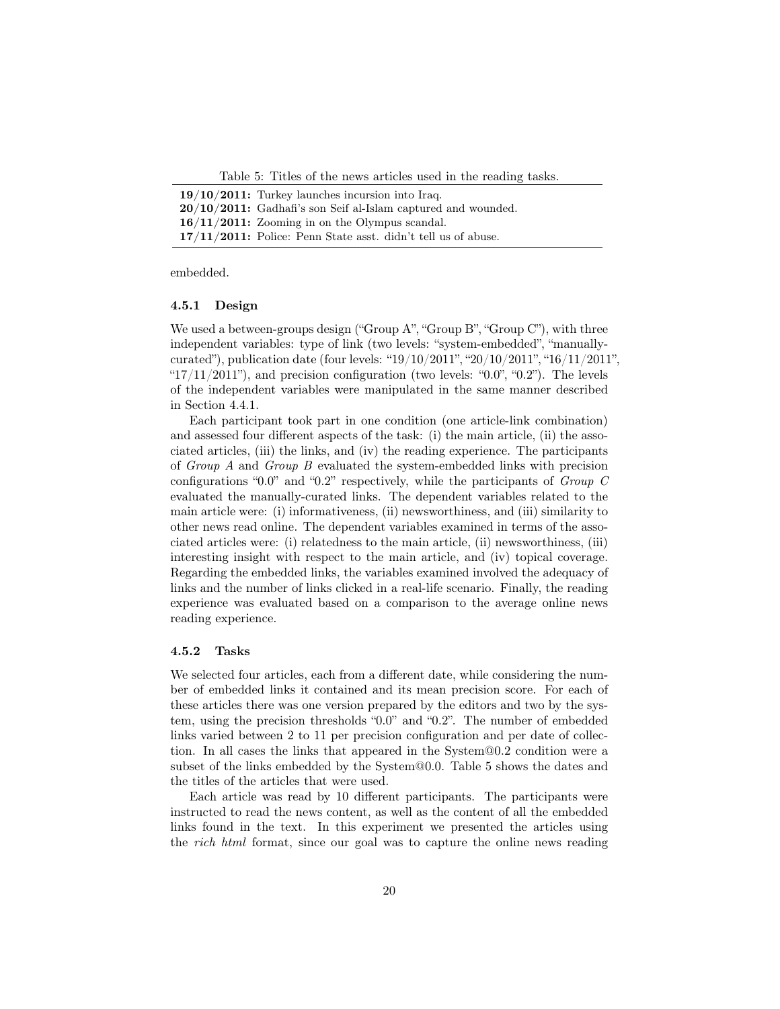Table 5: Titles of the news articles used in the reading tasks.

| $19/10/2011$ : Turkey launches incursion into Iraq.              |
|------------------------------------------------------------------|
| $20/10/2011$ : Gadhafi's son Seif al-Islam captured and wounded. |
| $16/11/2011$ : Zooming in on the Olympus scandal.                |
| $17/11/2011$ : Police: Penn State asst. didn't tell us of abuse. |

embedded.

#### 4.5.1 Design

We used a between-groups design ("Group A", "Group B", "Group C"), with three independent variables: type of link (two levels: "system-embedded", "manuallycurated"), publication date (four levels: " $19/10/2011$ ", " $20/10/2011$ ", " $16/11/2011$ ", " $17/11/2011$ "), and precision configuration (two levels: " $0.0$ ", " $0.2$ "). The levels of the independent variables were manipulated in the same manner described in Section 4.4.1.

Each participant took part in one condition (one article-link combination) and assessed four different aspects of the task: (i) the main article, (ii) the associated articles, (iii) the links, and (iv) the reading experience. The participants of Group A and Group B evaluated the system-embedded links with precision configurations "0.0" and "0.2" respectively, while the participants of Group C evaluated the manually-curated links. The dependent variables related to the main article were: (i) informativeness, (ii) newsworthiness, and (iii) similarity to other news read online. The dependent variables examined in terms of the associated articles were: (i) relatedness to the main article, (ii) newsworthiness, (iii) interesting insight with respect to the main article, and (iv) topical coverage. Regarding the embedded links, the variables examined involved the adequacy of links and the number of links clicked in a real-life scenario. Finally, the reading experience was evaluated based on a comparison to the average online news reading experience.

#### 4.5.2 Tasks

We selected four articles, each from a different date, while considering the number of embedded links it contained and its mean precision score. For each of these articles there was one version prepared by the editors and two by the system, using the precision thresholds "0.0" and "0.2". The number of embedded links varied between 2 to 11 per precision configuration and per date of collection. In all cases the links that appeared in the System@0.2 condition were a subset of the links embedded by the System@0.0. Table 5 shows the dates and the titles of the articles that were used.

Each article was read by 10 different participants. The participants were instructed to read the news content, as well as the content of all the embedded links found in the text. In this experiment we presented the articles using the rich html format, since our goal was to capture the online news reading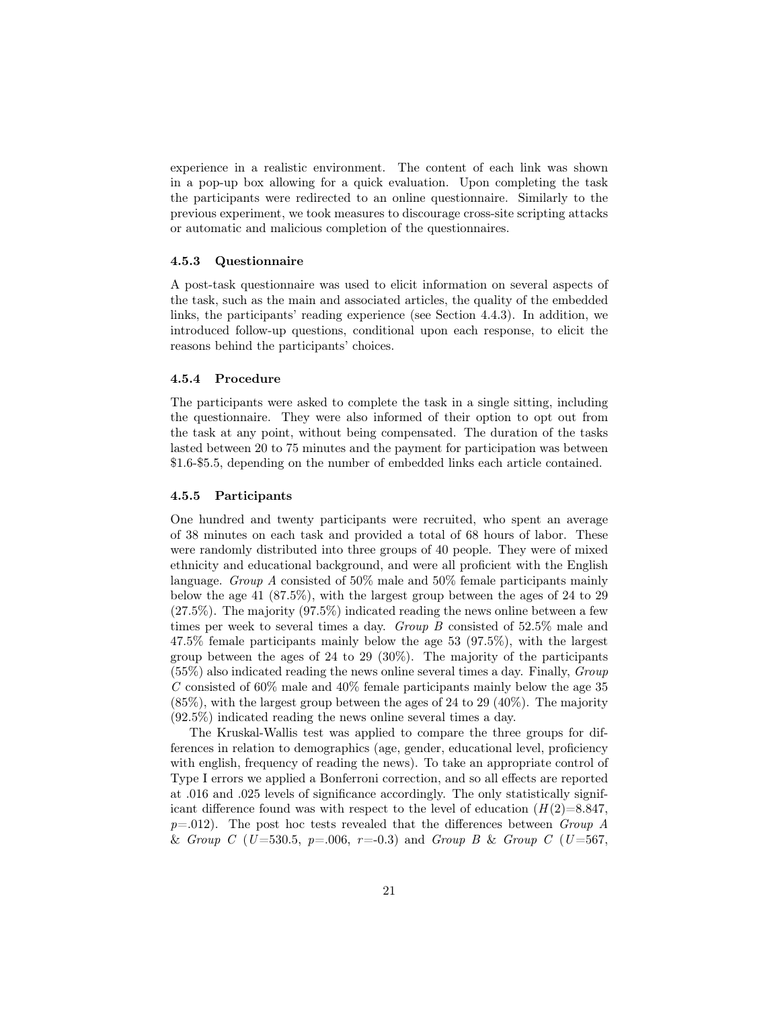experience in a realistic environment. The content of each link was shown in a pop-up box allowing for a quick evaluation. Upon completing the task the participants were redirected to an online questionnaire. Similarly to the previous experiment, we took measures to discourage cross-site scripting attacks or automatic and malicious completion of the questionnaires.

#### 4.5.3 Questionnaire

A post-task questionnaire was used to elicit information on several aspects of the task, such as the main and associated articles, the quality of the embedded links, the participants' reading experience (see Section 4.4.3). In addition, we introduced follow-up questions, conditional upon each response, to elicit the reasons behind the participants' choices.

#### 4.5.4 Procedure

The participants were asked to complete the task in a single sitting, including the questionnaire. They were also informed of their option to opt out from the task at any point, without being compensated. The duration of the tasks lasted between 20 to 75 minutes and the payment for participation was between \$1.6-\$5.5, depending on the number of embedded links each article contained.

### 4.5.5 Participants

One hundred and twenty participants were recruited, who spent an average of 38 minutes on each task and provided a total of 68 hours of labor. These were randomly distributed into three groups of 40 people. They were of mixed ethnicity and educational background, and were all proficient with the English language. Group A consisted of 50% male and 50% female participants mainly below the age 41 (87.5%), with the largest group between the ages of 24 to 29  $(27.5\%)$ . The majority  $(97.5\%)$  indicated reading the news online between a few times per week to several times a day. Group B consisted of 52.5% male and 47.5% female participants mainly below the age 53 (97.5%), with the largest group between the ages of 24 to 29 (30%). The majority of the participants  $(55\%)$  also indicated reading the news online several times a day. Finally, *Group*  $C$  consisted of 60% male and 40% female participants mainly below the age 35  $(85\%)$ , with the largest group between the ages of 24 to 29  $(40\%)$ . The majority (92.5%) indicated reading the news online several times a day.

The Kruskal-Wallis test was applied to compare the three groups for differences in relation to demographics (age, gender, educational level, proficiency with english, frequency of reading the news). To take an appropriate control of Type I errors we applied a Bonferroni correction, and so all effects are reported at .016 and .025 levels of significance accordingly. The only statistically significant difference found was with respect to the level of education  $(H(2)=8.847,$  $p=.012$ . The post hoc tests revealed that the differences between *Group A* & Group C (U=530.5, p=.006, r=-0.3) and Group B & Group C (U=567,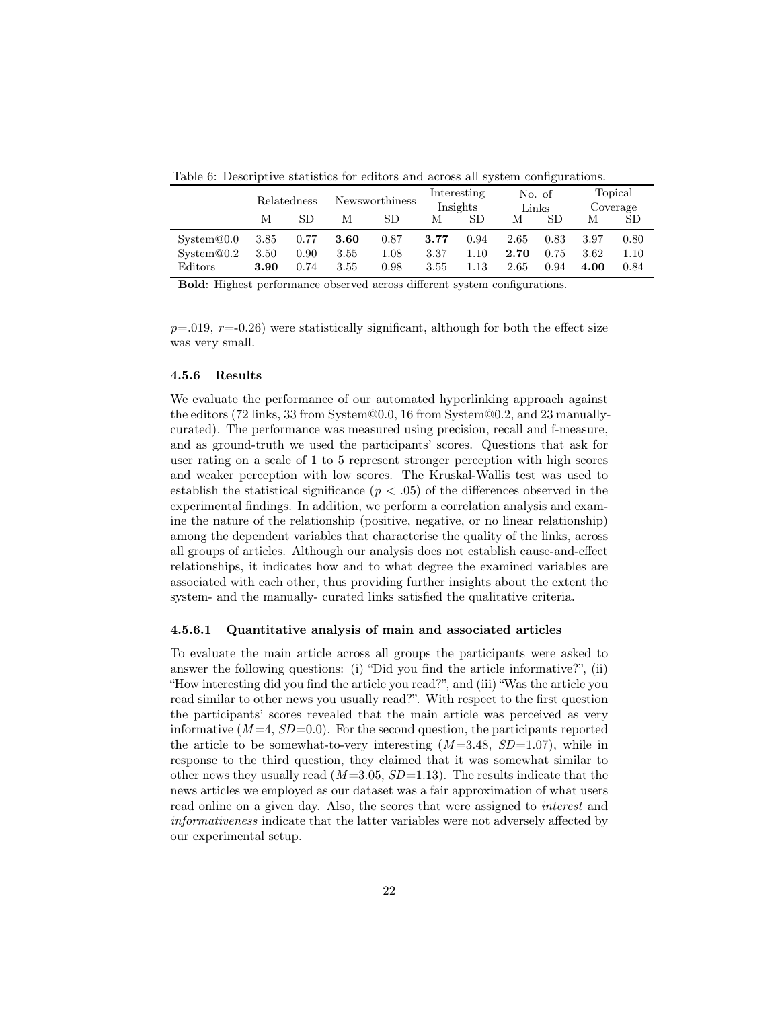Table 6: Descriptive statistics for editors and across all system configurations.

|                  |      | Relatedness | Newsworthiness |      | Interesting<br>Insights |      | No. of<br>Links |                 | Topical<br>Coverage |                |
|------------------|------|-------------|----------------|------|-------------------------|------|-----------------|-----------------|---------------------|----------------|
|                  | М    | SD          | М              | SD.  | М                       | SD   | М               | SD <sub>.</sub> | М                   | SD <sub></sub> |
| $S$ ystem $@0.0$ | 3.85 | 0.77        | 3.60           | 0.87 | 3.77                    | 0.94 | 2.65            | 0.83            | 3.97                | 0.80           |
| $S$ ystem $@0.2$ | 3.50 | 0.90        | 3.55           | 1.08 | 3.37                    | 1.10 | 2.70            | 0.75            | 3.62                | 1.10           |
| Editors          | 3.90 | 0.74        | 3.55           | 0.98 | 3.55                    | 1.13 | 2.65            | 0.94            | 4.00                | 0.84           |

Bold: Highest performance observed across different system configurations.

 $p=0.019$ ,  $r=-0.26$ ) were statistically significant, although for both the effect size was very small.

### 4.5.6 Results

We evaluate the performance of our automated hyperlinking approach against the editors (72 links, 33 from System@0.0, 16 from System@0.2, and 23 manuallycurated). The performance was measured using precision, recall and f-measure, and as ground-truth we used the participants' scores. Questions that ask for user rating on a scale of 1 to 5 represent stronger perception with high scores and weaker perception with low scores. The Kruskal-Wallis test was used to establish the statistical significance  $(p < .05)$  of the differences observed in the experimental findings. In addition, we perform a correlation analysis and examine the nature of the relationship (positive, negative, or no linear relationship) among the dependent variables that characterise the quality of the links, across all groups of articles. Although our analysis does not establish cause-and-effect relationships, it indicates how and to what degree the examined variables are associated with each other, thus providing further insights about the extent the system- and the manually- curated links satisfied the qualitative criteria.

#### 4.5.6.1 Quantitative analysis of main and associated articles

To evaluate the main article across all groups the participants were asked to answer the following questions: (i) "Did you find the article informative?", (ii) "How interesting did you find the article you read?", and (iii) "Was the article you read similar to other news you usually read?". With respect to the first question the participants' scores revealed that the main article was perceived as very informative  $(M=4, SD=0.0)$ . For the second question, the participants reported the article to be somewhat-to-very interesting  $(M=3.48, SD=1.07)$ , while in response to the third question, they claimed that it was somewhat similar to other news they usually read  $(M=3.05, SD=1.13)$ . The results indicate that the news articles we employed as our dataset was a fair approximation of what users read online on a given day. Also, the scores that were assigned to interest and informativeness indicate that the latter variables were not adversely affected by our experimental setup.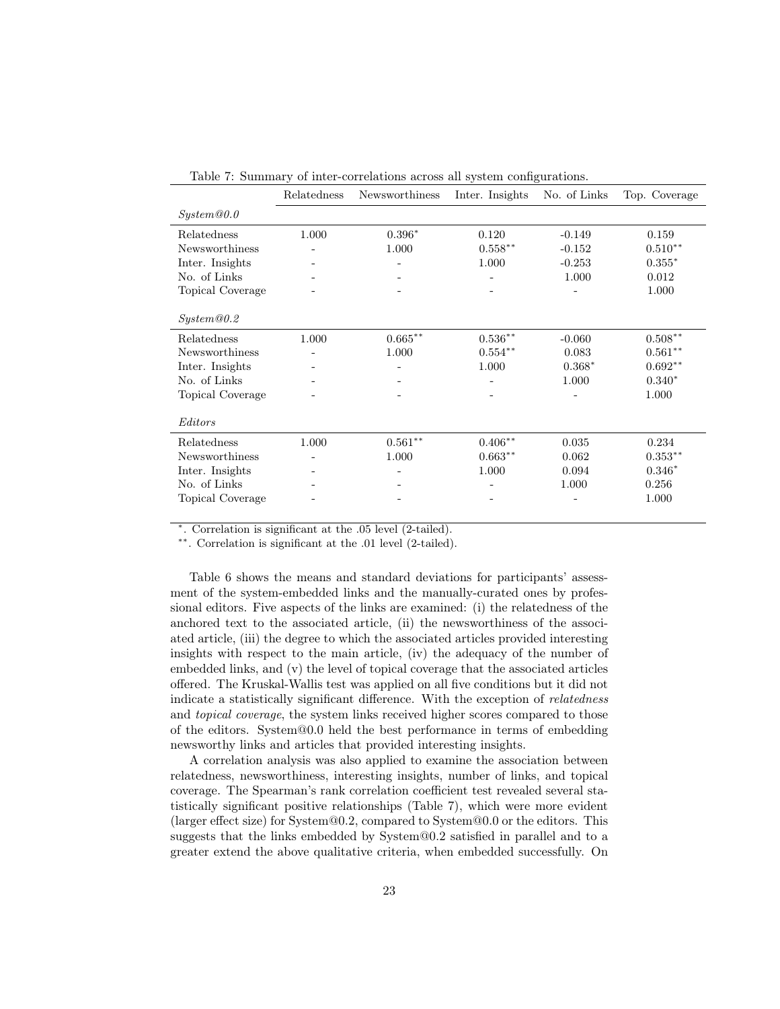|                  | Relatedness | Newsworthiness     | Inter. Insights          | No. of Links | Top. Coverage      |
|------------------|-------------|--------------------|--------------------------|--------------|--------------------|
| System@0.0       |             |                    |                          |              |                    |
| Relatedness      | 1.000       | $0.396*$           | 0.120                    | $-0.149$     | 0.159              |
| Newsworthiness   |             | 1.000              | $0.558**$                | $-0.152$     | $0.510**$          |
| Inter. Insights  |             |                    | 1.000                    | $-0.253$     | $0.355*$           |
| No. of Links     |             |                    |                          | 1.000        | 0.012              |
| Topical Coverage |             |                    | $\overline{\phantom{0}}$ | -            | 1.000              |
|                  |             |                    |                          |              |                    |
| System@0.2       |             |                    |                          |              |                    |
| Relatedness      | 1.000       | $0.665^{\ast\ast}$ | $0.536**$                | $-0.060$     | $0.508^{\ast\ast}$ |
| Newsworthiness   |             | 1.000              | $0.554**$                | 0.083        | $0.561**$          |
| Inter. Insights  |             |                    | 1.000                    | $0.368*$     | $0.692**$          |
| No. of Links     |             |                    |                          | 1.000        | $0.340*$           |
| Topical Coverage |             |                    |                          |              | 1.000              |
|                  |             |                    |                          |              |                    |
| Editors          |             |                    |                          |              |                    |
| Relatedness      | 1.000       | $0.561**$          | $0.406**$                | 0.035        | 0.234              |
| Newsworthiness   |             | 1.000              | $0.663**$                | 0.062        | $0.353***$         |
| Inter. Insights  |             |                    | 1.000                    | 0.094        | $0.346*$           |
| No. of Links     |             |                    |                          | 1.000        | 0.256              |
| Topical Coverage |             |                    |                          |              | 1.000              |
|                  |             |                    |                          |              |                    |

Table 7: Summary of inter-correlations across all system configurations.

∗ . Correlation is significant at the .05 level (2-tailed).

∗∗. Correlation is significant at the .01 level (2-tailed).

Table 6 shows the means and standard deviations for participants' assessment of the system-embedded links and the manually-curated ones by professional editors. Five aspects of the links are examined: (i) the relatedness of the anchored text to the associated article, (ii) the newsworthiness of the associated article, (iii) the degree to which the associated articles provided interesting insights with respect to the main article, (iv) the adequacy of the number of embedded links, and (v) the level of topical coverage that the associated articles offered. The Kruskal-Wallis test was applied on all five conditions but it did not indicate a statistically significant difference. With the exception of relatedness and topical coverage, the system links received higher scores compared to those of the editors. System@0.0 held the best performance in terms of embedding newsworthy links and articles that provided interesting insights.

A correlation analysis was also applied to examine the association between relatedness, newsworthiness, interesting insights, number of links, and topical coverage. The Spearman's rank correlation coefficient test revealed several statistically significant positive relationships (Table 7), which were more evident (larger effect size) for System@0.2, compared to System@0.0 or the editors. This suggests that the links embedded by System@0.2 satisfied in parallel and to a greater extend the above qualitative criteria, when embedded successfully. On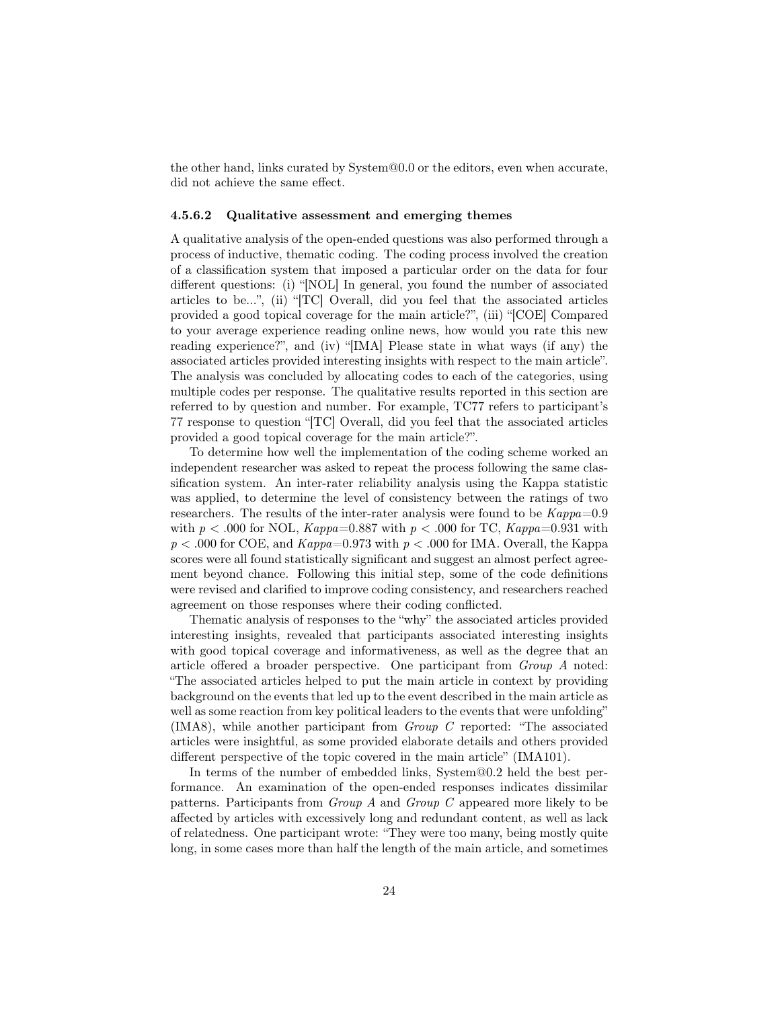the other hand, links curated by System@0.0 or the editors, even when accurate, did not achieve the same effect.

#### 4.5.6.2 Qualitative assessment and emerging themes

A qualitative analysis of the open-ended questions was also performed through a process of inductive, thematic coding. The coding process involved the creation of a classification system that imposed a particular order on the data for four different questions: (i) "[NOL] In general, you found the number of associated articles to be...", (ii) "[TC] Overall, did you feel that the associated articles provided a good topical coverage for the main article?", (iii) "[COE] Compared to your average experience reading online news, how would you rate this new reading experience?", and (iv) "[IMA] Please state in what ways (if any) the associated articles provided interesting insights with respect to the main article". The analysis was concluded by allocating codes to each of the categories, using multiple codes per response. The qualitative results reported in this section are referred to by question and number. For example, TC77 refers to participant's 77 response to question "[TC] Overall, did you feel that the associated articles provided a good topical coverage for the main article?".

To determine how well the implementation of the coding scheme worked an independent researcher was asked to repeat the process following the same classification system. An inter-rater reliability analysis using the Kappa statistic was applied, to determine the level of consistency between the ratings of two researchers. The results of the inter-rater analysis were found to be  $Kappa=0.9$ with  $p < .000$  for NOL,  $Kappa=0.887$  with  $p < .000$  for TC,  $Kappa=0.931$  with  $p < .000$  for COE, and  $Kappa=0.973$  with  $p < .000$  for IMA. Overall, the Kappa scores were all found statistically significant and suggest an almost perfect agreement beyond chance. Following this initial step, some of the code definitions were revised and clarified to improve coding consistency, and researchers reached agreement on those responses where their coding conflicted.

Thematic analysis of responses to the "why" the associated articles provided interesting insights, revealed that participants associated interesting insights with good topical coverage and informativeness, as well as the degree that an article offered a broader perspective. One participant from Group A noted: "The associated articles helped to put the main article in context by providing background on the events that led up to the event described in the main article as well as some reaction from key political leaders to the events that were unfolding" (IMA8), while another participant from  $Group\;C$  reported: "The associated articles were insightful, as some provided elaborate details and others provided different perspective of the topic covered in the main article" (IMA101).

In terms of the number of embedded links, System@0.2 held the best performance. An examination of the open-ended responses indicates dissimilar patterns. Participants from Group A and Group C appeared more likely to be affected by articles with excessively long and redundant content, as well as lack of relatedness. One participant wrote: "They were too many, being mostly quite long, in some cases more than half the length of the main article, and sometimes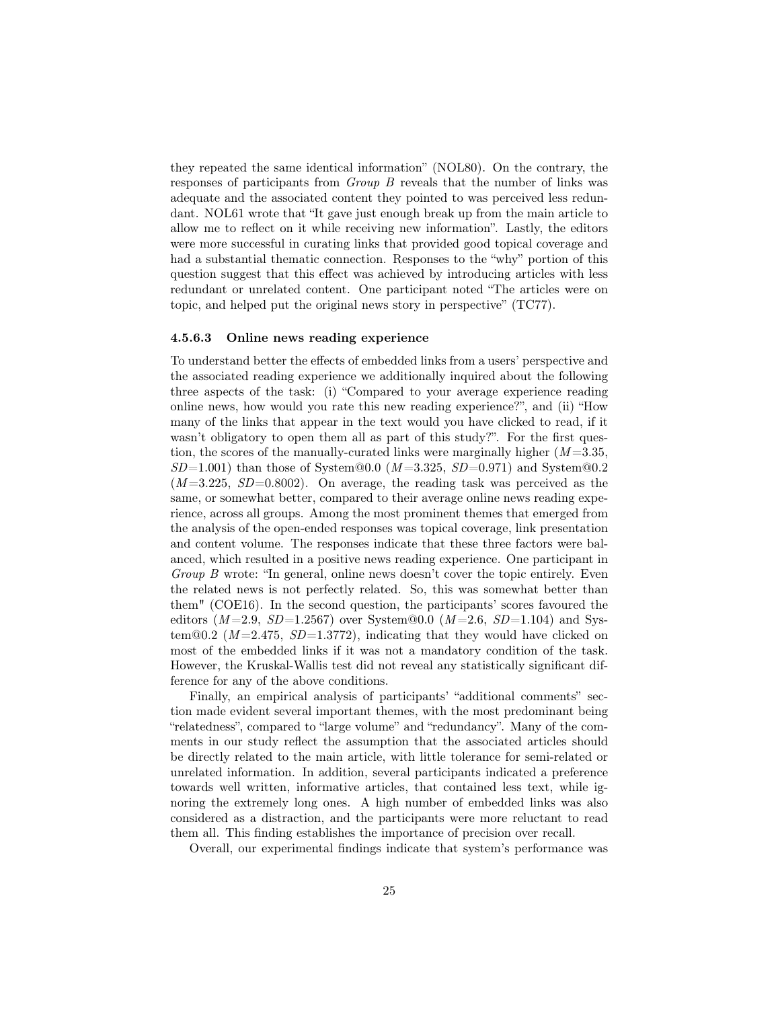they repeated the same identical information" (NOL80). On the contrary, the responses of participants from Group B reveals that the number of links was adequate and the associated content they pointed to was perceived less redundant. NOL61 wrote that "It gave just enough break up from the main article to allow me to reflect on it while receiving new information". Lastly, the editors were more successful in curating links that provided good topical coverage and had a substantial thematic connection. Responses to the "why" portion of this question suggest that this effect was achieved by introducing articles with less redundant or unrelated content. One participant noted "The articles were on topic, and helped put the original news story in perspective" (TC77).

#### 4.5.6.3 Online news reading experience

To understand better the effects of embedded links from a users' perspective and the associated reading experience we additionally inquired about the following three aspects of the task: (i) "Compared to your average experience reading online news, how would you rate this new reading experience?", and (ii) "How many of the links that appear in the text would you have clicked to read, if it wasn't obligatory to open them all as part of this study?". For the first question, the scores of the manually-curated links were marginally higher  $(M=3.35,$  $SD=1.001$ ) than those of System@0.0 ( $M=3.325$ ,  $SD=0.971$ ) and System@0.2  $(M=3.225, SD=0.8002)$ . On average, the reading task was perceived as the same, or somewhat better, compared to their average online news reading experience, across all groups. Among the most prominent themes that emerged from the analysis of the open-ended responses was topical coverage, link presentation and content volume. The responses indicate that these three factors were balanced, which resulted in a positive news reading experience. One participant in Group B wrote: "In general, online news doesn't cover the topic entirely. Even the related news is not perfectly related. So, this was somewhat better than them" (COE16). In the second question, the participants' scores favoured the editors  $(M=2.9, SD=1.2567)$  over System@0.0  $(M=2.6, SD=1.104)$  and System@0.2 ( $M = 2.475$ ,  $SD = 1.3772$ ), indicating that they would have clicked on most of the embedded links if it was not a mandatory condition of the task. However, the Kruskal-Wallis test did not reveal any statistically significant difference for any of the above conditions.

Finally, an empirical analysis of participants' "additional comments" section made evident several important themes, with the most predominant being "relatedness", compared to "large volume" and "redundancy". Many of the comments in our study reflect the assumption that the associated articles should be directly related to the main article, with little tolerance for semi-related or unrelated information. In addition, several participants indicated a preference towards well written, informative articles, that contained less text, while ignoring the extremely long ones. A high number of embedded links was also considered as a distraction, and the participants were more reluctant to read them all. This finding establishes the importance of precision over recall.

Overall, our experimental findings indicate that system's performance was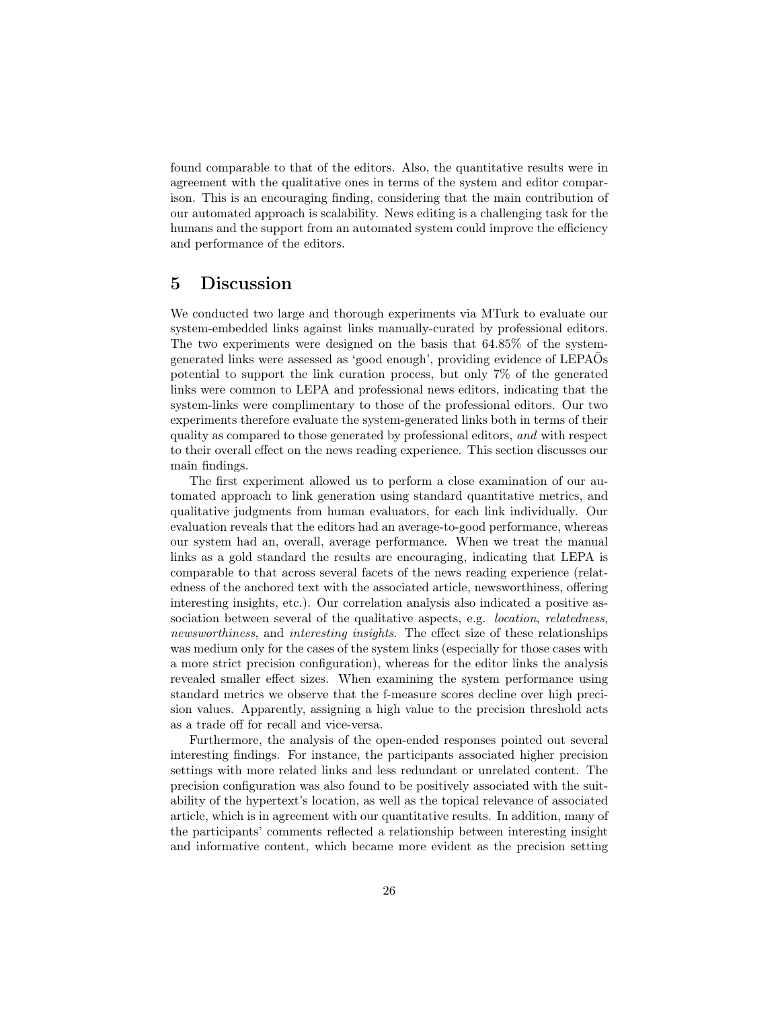found comparable to that of the editors. Also, the quantitative results were in agreement with the qualitative ones in terms of the system and editor comparison. This is an encouraging finding, considering that the main contribution of our automated approach is scalability. News editing is a challenging task for the humans and the support from an automated system could improve the efficiency and performance of the editors.

# 5 Discussion

We conducted two large and thorough experiments via MTurk to evaluate our system-embedded links against links manually-curated by professional editors. The two experiments were designed on the basis that 64.85% of the systemgenerated links were assessed as 'good enough', providing evidence of LEPAÕs potential to support the link curation process, but only 7% of the generated links were common to LEPA and professional news editors, indicating that the system-links were complimentary to those of the professional editors. Our two experiments therefore evaluate the system-generated links both in terms of their quality as compared to those generated by professional editors, and with respect to their overall effect on the news reading experience. This section discusses our main findings.

The first experiment allowed us to perform a close examination of our automated approach to link generation using standard quantitative metrics, and qualitative judgments from human evaluators, for each link individually. Our evaluation reveals that the editors had an average-to-good performance, whereas our system had an, overall, average performance. When we treat the manual links as a gold standard the results are encouraging, indicating that LEPA is comparable to that across several facets of the news reading experience (relatedness of the anchored text with the associated article, newsworthiness, offering interesting insights, etc.). Our correlation analysis also indicated a positive association between several of the qualitative aspects, e.g. location, relatedness, newsworthiness, and interesting insights. The effect size of these relationships was medium only for the cases of the system links (especially for those cases with a more strict precision configuration), whereas for the editor links the analysis revealed smaller effect sizes. When examining the system performance using standard metrics we observe that the f-measure scores decline over high precision values. Apparently, assigning a high value to the precision threshold acts as a trade off for recall and vice-versa.

Furthermore, the analysis of the open-ended responses pointed out several interesting findings. For instance, the participants associated higher precision settings with more related links and less redundant or unrelated content. The precision configuration was also found to be positively associated with the suitability of the hypertext's location, as well as the topical relevance of associated article, which is in agreement with our quantitative results. In addition, many of the participants' comments reflected a relationship between interesting insight and informative content, which became more evident as the precision setting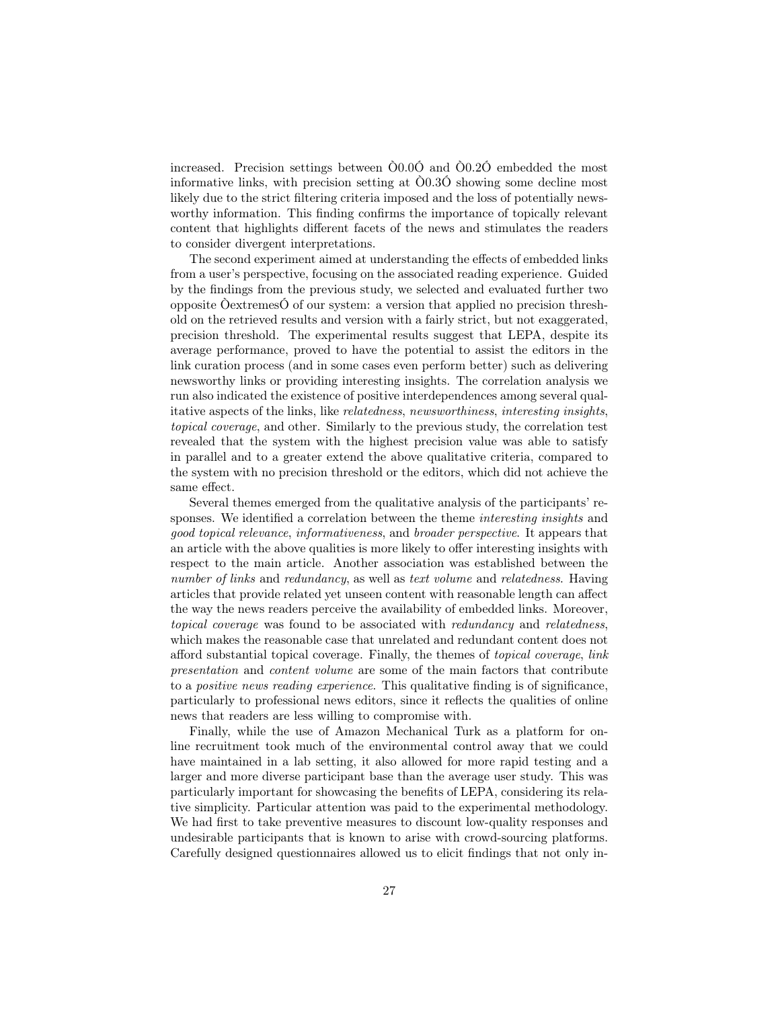increased. Precision settings between Ò0.0Ó and Ò0.2Ó embedded the most informative links, with precision setting at Ò0.3Ó showing some decline most likely due to the strict filtering criteria imposed and the loss of potentially newsworthy information. This finding confirms the importance of topically relevant content that highlights different facets of the news and stimulates the readers to consider divergent interpretations.

The second experiment aimed at understanding the effects of embedded links from a user's perspective, focusing on the associated reading experience. Guided by the findings from the previous study, we selected and evaluated further two opposite ÒextremesÓ of our system: a version that applied no precision threshold on the retrieved results and version with a fairly strict, but not exaggerated, precision threshold. The experimental results suggest that LEPA, despite its average performance, proved to have the potential to assist the editors in the link curation process (and in some cases even perform better) such as delivering newsworthy links or providing interesting insights. The correlation analysis we run also indicated the existence of positive interdependences among several qualitative aspects of the links, like relatedness, newsworthiness, interesting insights, topical coverage, and other. Similarly to the previous study, the correlation test revealed that the system with the highest precision value was able to satisfy in parallel and to a greater extend the above qualitative criteria, compared to the system with no precision threshold or the editors, which did not achieve the same effect.

Several themes emerged from the qualitative analysis of the participants' responses. We identified a correlation between the theme *interesting insights* and good topical relevance, informativeness, and broader perspective. It appears that an article with the above qualities is more likely to offer interesting insights with respect to the main article. Another association was established between the number of links and redundancy, as well as text volume and relatedness. Having articles that provide related yet unseen content with reasonable length can affect the way the news readers perceive the availability of embedded links. Moreover, topical coverage was found to be associated with redundancy and relatedness, which makes the reasonable case that unrelated and redundant content does not afford substantial topical coverage. Finally, the themes of topical coverage, link presentation and content volume are some of the main factors that contribute to a positive news reading experience. This qualitative finding is of significance, particularly to professional news editors, since it reflects the qualities of online news that readers are less willing to compromise with.

Finally, while the use of Amazon Mechanical Turk as a platform for online recruitment took much of the environmental control away that we could have maintained in a lab setting, it also allowed for more rapid testing and a larger and more diverse participant base than the average user study. This was particularly important for showcasing the benefits of LEPA, considering its relative simplicity. Particular attention was paid to the experimental methodology. We had first to take preventive measures to discount low-quality responses and undesirable participants that is known to arise with crowd-sourcing platforms. Carefully designed questionnaires allowed us to elicit findings that not only in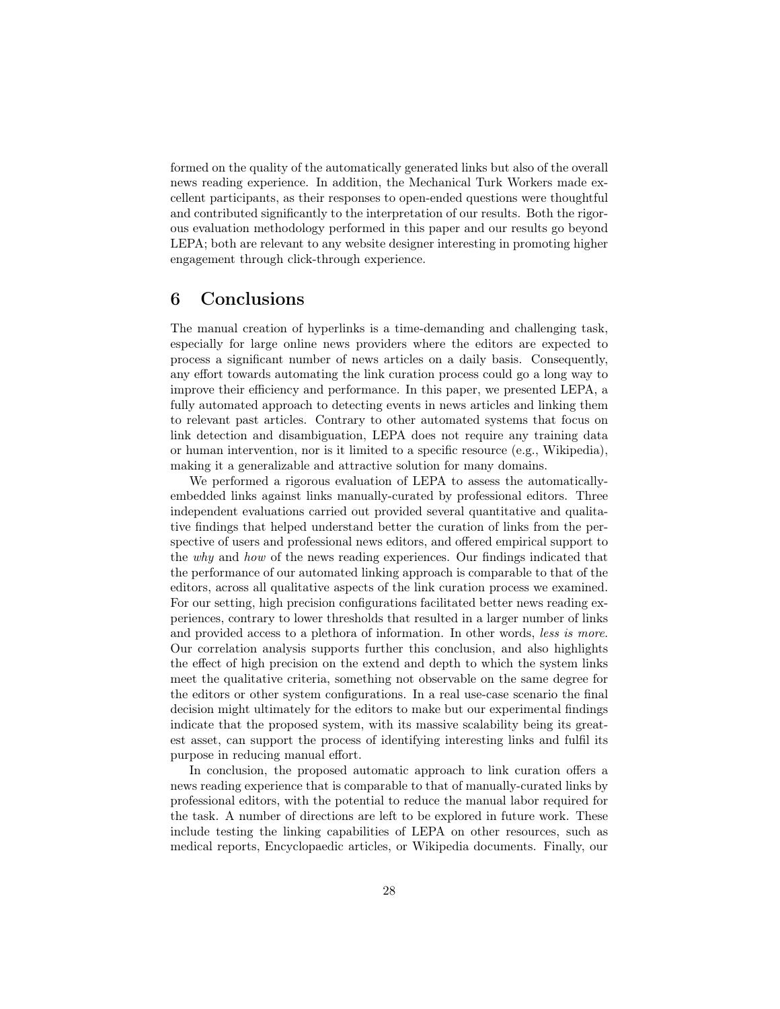formed on the quality of the automatically generated links but also of the overall news reading experience. In addition, the Mechanical Turk Workers made excellent participants, as their responses to open-ended questions were thoughtful and contributed significantly to the interpretation of our results. Both the rigorous evaluation methodology performed in this paper and our results go beyond LEPA; both are relevant to any website designer interesting in promoting higher engagement through click-through experience.

# 6 Conclusions

The manual creation of hyperlinks is a time-demanding and challenging task, especially for large online news providers where the editors are expected to process a significant number of news articles on a daily basis. Consequently, any effort towards automating the link curation process could go a long way to improve their efficiency and performance. In this paper, we presented LEPA, a fully automated approach to detecting events in news articles and linking them to relevant past articles. Contrary to other automated systems that focus on link detection and disambiguation, LEPA does not require any training data or human intervention, nor is it limited to a specific resource (e.g., Wikipedia), making it a generalizable and attractive solution for many domains.

We performed a rigorous evaluation of LEPA to assess the automaticallyembedded links against links manually-curated by professional editors. Three independent evaluations carried out provided several quantitative and qualitative findings that helped understand better the curation of links from the perspective of users and professional news editors, and offered empirical support to the why and how of the news reading experiences. Our findings indicated that the performance of our automated linking approach is comparable to that of the editors, across all qualitative aspects of the link curation process we examined. For our setting, high precision configurations facilitated better news reading experiences, contrary to lower thresholds that resulted in a larger number of links and provided access to a plethora of information. In other words, less is more. Our correlation analysis supports further this conclusion, and also highlights the effect of high precision on the extend and depth to which the system links meet the qualitative criteria, something not observable on the same degree for the editors or other system configurations. In a real use-case scenario the final decision might ultimately for the editors to make but our experimental findings indicate that the proposed system, with its massive scalability being its greatest asset, can support the process of identifying interesting links and fulfil its purpose in reducing manual effort.

In conclusion, the proposed automatic approach to link curation offers a news reading experience that is comparable to that of manually-curated links by professional editors, with the potential to reduce the manual labor required for the task. A number of directions are left to be explored in future work. These include testing the linking capabilities of LEPA on other resources, such as medical reports, Encyclopaedic articles, or Wikipedia documents. Finally, our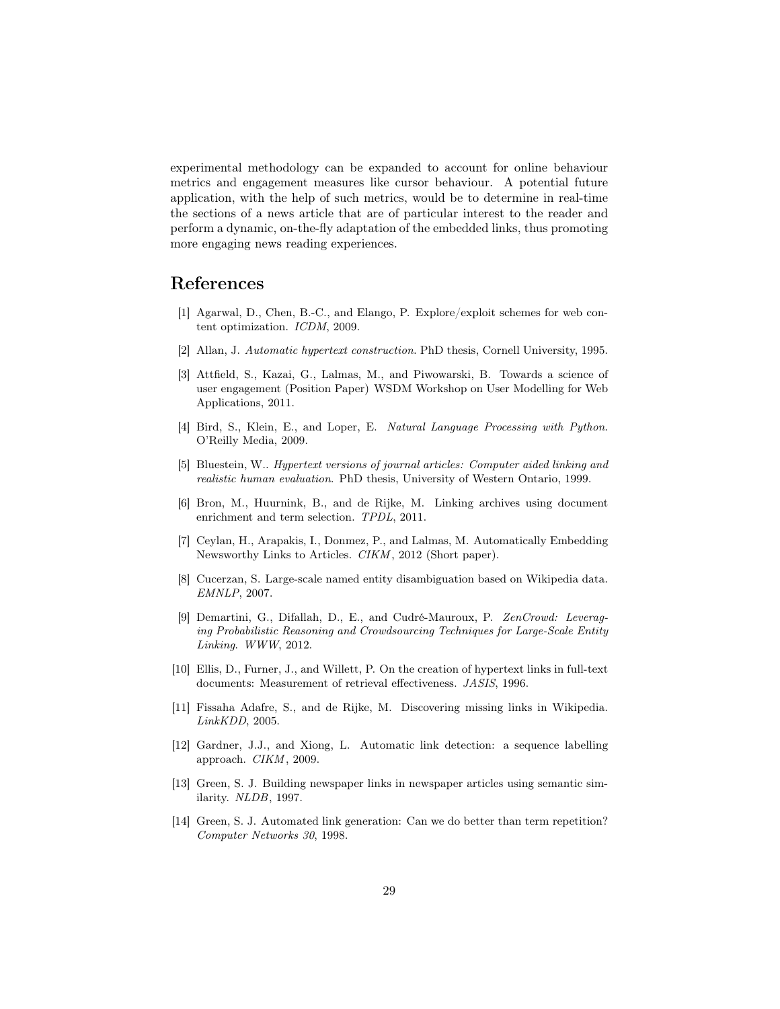experimental methodology can be expanded to account for online behaviour metrics and engagement measures like cursor behaviour. A potential future application, with the help of such metrics, would be to determine in real-time the sections of a news article that are of particular interest to the reader and perform a dynamic, on-the-fly adaptation of the embedded links, thus promoting more engaging news reading experiences.

# References

- [1] Agarwal, D., Chen, B.-C., and Elango, P. Explore/exploit schemes for web content optimization. ICDM, 2009.
- [2] Allan, J. Automatic hypertext construction. PhD thesis, Cornell University, 1995.
- [3] Attfield, S., Kazai, G., Lalmas, M., and Piwowarski, B. Towards a science of user engagement (Position Paper) WSDM Workshop on User Modelling for Web Applications, 2011.
- [4] Bird, S., Klein, E., and Loper, E. Natural Language Processing with Python. O'Reilly Media, 2009.
- [5] Bluestein, W.. Hypertext versions of journal articles: Computer aided linking and realistic human evaluation. PhD thesis, University of Western Ontario, 1999.
- [6] Bron, M., Huurnink, B., and de Rijke, M. Linking archives using document enrichment and term selection. TPDL, 2011.
- [7] Ceylan, H., Arapakis, I., Donmez, P., and Lalmas, M. Automatically Embedding Newsworthy Links to Articles. CIKM , 2012 (Short paper).
- [8] Cucerzan, S. Large-scale named entity disambiguation based on Wikipedia data. EMNLP, 2007.
- [9] Demartini, G., Difallah, D., E., and Cudré-Mauroux, P. ZenCrowd: Leveraging Probabilistic Reasoning and Crowdsourcing Techniques for Large-Scale Entity Linking. WWW, 2012.
- [10] Ellis, D., Furner, J., and Willett, P. On the creation of hypertext links in full-text documents: Measurement of retrieval effectiveness. JASIS, 1996.
- [11] Fissaha Adafre, S., and de Rijke, M. Discovering missing links in Wikipedia. LinkKDD, 2005.
- [12] Gardner, J.J., and Xiong, L. Automatic link detection: a sequence labelling approach. CIKM , 2009.
- [13] Green, S. J. Building newspaper links in newspaper articles using semantic similarity. NLDB, 1997.
- [14] Green, S. J. Automated link generation: Can we do better than term repetition? Computer Networks 30, 1998.